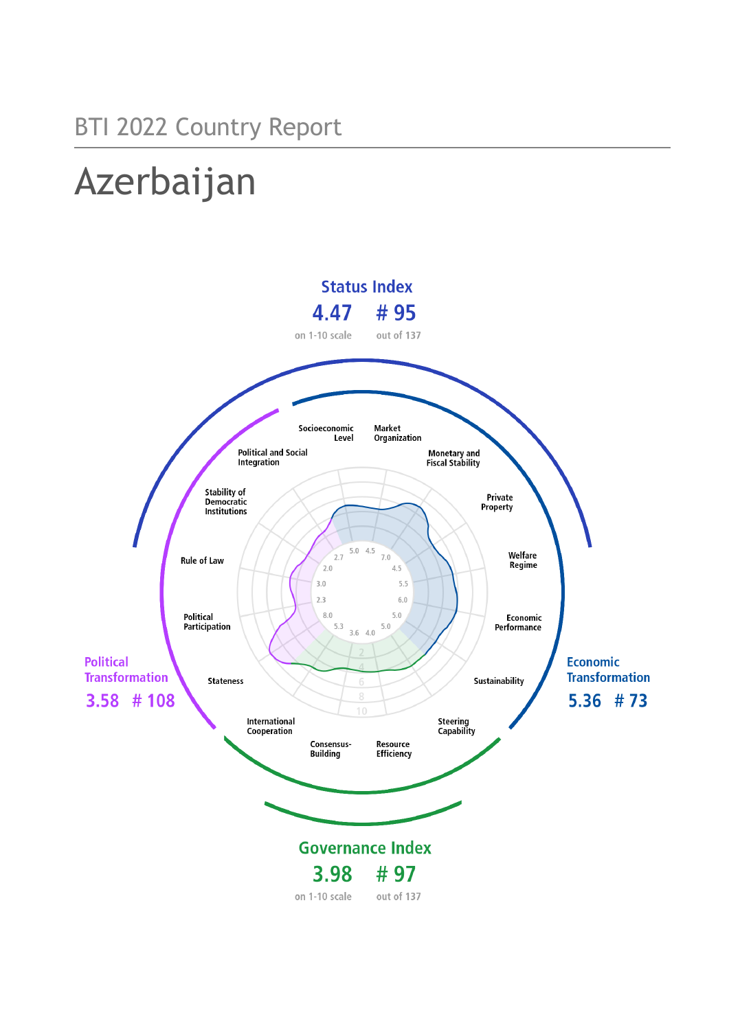# Azerbaijan

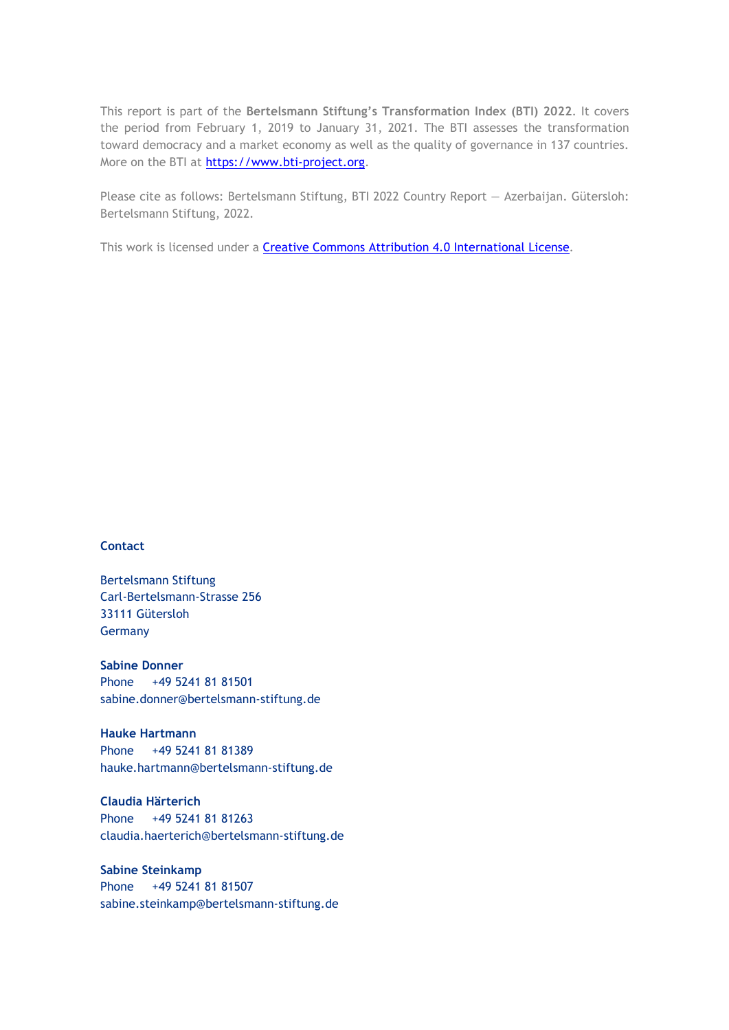This report is part of the **Bertelsmann Stiftung's Transformation Index (BTI) 2022**. It covers the period from February 1, 2019 to January 31, 2021. The BTI assesses the transformation toward democracy and a market economy as well as the quality of governance in 137 countries. More on the BTI at [https://www.bti-project.org.](https://www.bti-project.org/)

Please cite as follows: Bertelsmann Stiftung, BTI 2022 Country Report — Azerbaijan. Gütersloh: Bertelsmann Stiftung, 2022.

This work is licensed under a **Creative Commons Attribution 4.0 International License**.

#### **Contact**

Bertelsmann Stiftung Carl-Bertelsmann-Strasse 256 33111 Gütersloh Germany

**Sabine Donner** Phone +49 5241 81 81501 sabine.donner@bertelsmann-stiftung.de

**Hauke Hartmann** Phone +49 5241 81 81389 hauke.hartmann@bertelsmann-stiftung.de

**Claudia Härterich** Phone +49 5241 81 81263 claudia.haerterich@bertelsmann-stiftung.de

#### **Sabine Steinkamp** Phone +49 5241 81 81507 sabine.steinkamp@bertelsmann-stiftung.de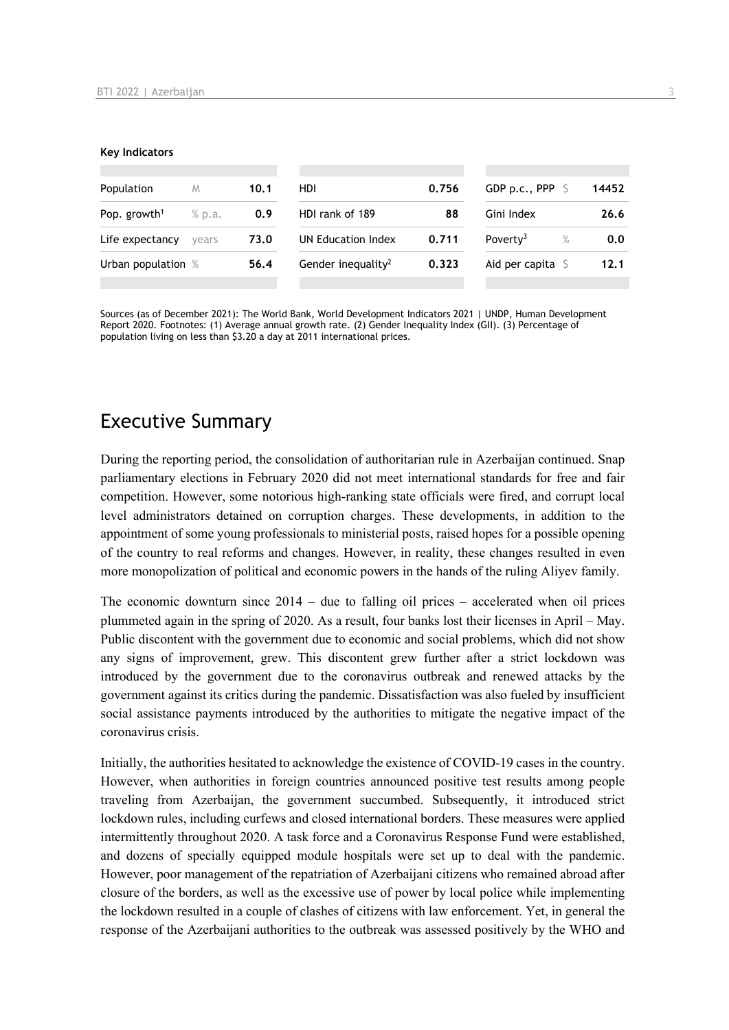#### **Key Indicators**

| Population                                | M     | 10.1                                | HDI                            | 0.756 | GDP p.c., PPP $\sqrt{5}$   | 14452 |
|-------------------------------------------|-------|-------------------------------------|--------------------------------|-------|----------------------------|-------|
| Pop. growth <sup>1</sup><br>% p.a.<br>0.9 |       | HDI rank of 189<br>Gini Index<br>88 |                                | 26.6  |                            |       |
| Life expectancy                           | vears | 73.0                                | UN Education Index             | 0.711 | Poverty <sup>3</sup><br>%  | 0.0   |
| Urban population %                        |       | 56.4                                | Gender inequality <sup>2</sup> | 0.323 | Aid per capita $\mathsf S$ | 12.1  |
|                                           |       |                                     |                                |       |                            |       |

Sources (as of December 2021): The World Bank, World Development Indicators 2021 | UNDP, Human Development Report 2020. Footnotes: (1) Average annual growth rate. (2) Gender Inequality Index (GII). (3) Percentage of population living on less than \$3.20 a day at 2011 international prices.

## Executive Summary

During the reporting period, the consolidation of authoritarian rule in Azerbaijan continued. Snap parliamentary elections in February 2020 did not meet international standards for free and fair competition. However, some notorious high-ranking state officials were fired, and corrupt local level administrators detained on corruption charges. These developments, in addition to the appointment of some young professionals to ministerial posts, raised hopes for a possible opening of the country to real reforms and changes. However, in reality, these changes resulted in even more monopolization of political and economic powers in the hands of the ruling Aliyev family.

The economic downturn since 2014 – due to falling oil prices – accelerated when oil prices plummeted again in the spring of 2020. As a result, four banks lost their licenses in April – May. Public discontent with the government due to economic and social problems, which did not show any signs of improvement, grew. This discontent grew further after a strict lockdown was introduced by the government due to the coronavirus outbreak and renewed attacks by the government against its critics during the pandemic. Dissatisfaction was also fueled by insufficient social assistance payments introduced by the authorities to mitigate the negative impact of the coronavirus crisis.

Initially, the authorities hesitated to acknowledge the existence of COVID-19 cases in the country. However, when authorities in foreign countries announced positive test results among people traveling from Azerbaijan, the government succumbed. Subsequently, it introduced strict lockdown rules, including curfews and closed international borders. These measures were applied intermittently throughout 2020. A task force and a Coronavirus Response Fund were established, and dozens of specially equipped module hospitals were set up to deal with the pandemic. However, poor management of the repatriation of Azerbaijani citizens who remained abroad after closure of the borders, as well as the excessive use of power by local police while implementing the lockdown resulted in a couple of clashes of citizens with law enforcement. Yet, in general the response of the Azerbaijani authorities to the outbreak was assessed positively by the WHO and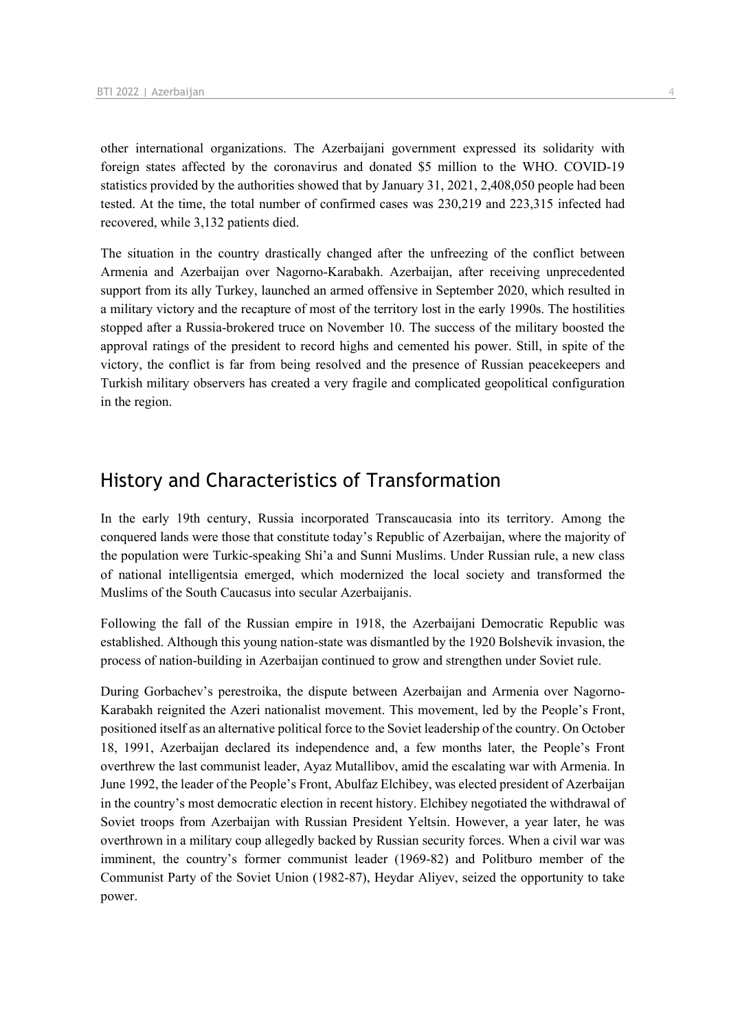other international organizations. The Azerbaijani government expressed its solidarity with foreign states affected by the coronavirus and donated \$5 million to the WHO. COVID-19 statistics provided by the authorities showed that by January 31, 2021, 2,408,050 people had been tested. At the time, the total number of confirmed cases was 230,219 and 223,315 infected had recovered, while 3,132 patients died.

The situation in the country drastically changed after the unfreezing of the conflict between Armenia and Azerbaijan over Nagorno-Karabakh. Azerbaijan, after receiving unprecedented support from its ally Turkey, launched an armed offensive in September 2020, which resulted in a military victory and the recapture of most of the territory lost in the early 1990s. The hostilities stopped after a Russia-brokered truce on November 10. The success of the military boosted the approval ratings of the president to record highs and cemented his power. Still, in spite of the victory, the conflict is far from being resolved and the presence of Russian peacekeepers and Turkish military observers has created a very fragile and complicated geopolitical configuration in the region.

## History and Characteristics of Transformation

In the early 19th century, Russia incorporated Transcaucasia into its territory. Among the conquered lands were those that constitute today's Republic of Azerbaijan, where the majority of the population were Turkic-speaking Shi'a and Sunni Muslims. Under Russian rule, a new class of national intelligentsia emerged, which modernized the local society and transformed the Muslims of the South Caucasus into secular Azerbaijanis.

Following the fall of the Russian empire in 1918, the Azerbaijani Democratic Republic was established. Although this young nation-state was dismantled by the 1920 Bolshevik invasion, the process of nation-building in Azerbaijan continued to grow and strengthen under Soviet rule.

During Gorbachev's perestroika, the dispute between Azerbaijan and Armenia over Nagorno-Karabakh reignited the Azeri nationalist movement. This movement, led by the People's Front, positioned itself as an alternative political force to the Soviet leadership of the country. On October 18, 1991, Azerbaijan declared its independence and, a few months later, the People's Front overthrew the last communist leader, Ayaz Mutallibov, amid the escalating war with Armenia. In June 1992, the leader of the People's Front, Abulfaz Elchibey, was elected president of Azerbaijan in the country's most democratic election in recent history. Elchibey negotiated the withdrawal of Soviet troops from Azerbaijan with Russian President Yeltsin. However, a year later, he was overthrown in a military coup allegedly backed by Russian security forces. When a civil war was imminent, the country's former communist leader (1969-82) and Politburo member of the Communist Party of the Soviet Union (1982-87), Heydar Aliyev, seized the opportunity to take power.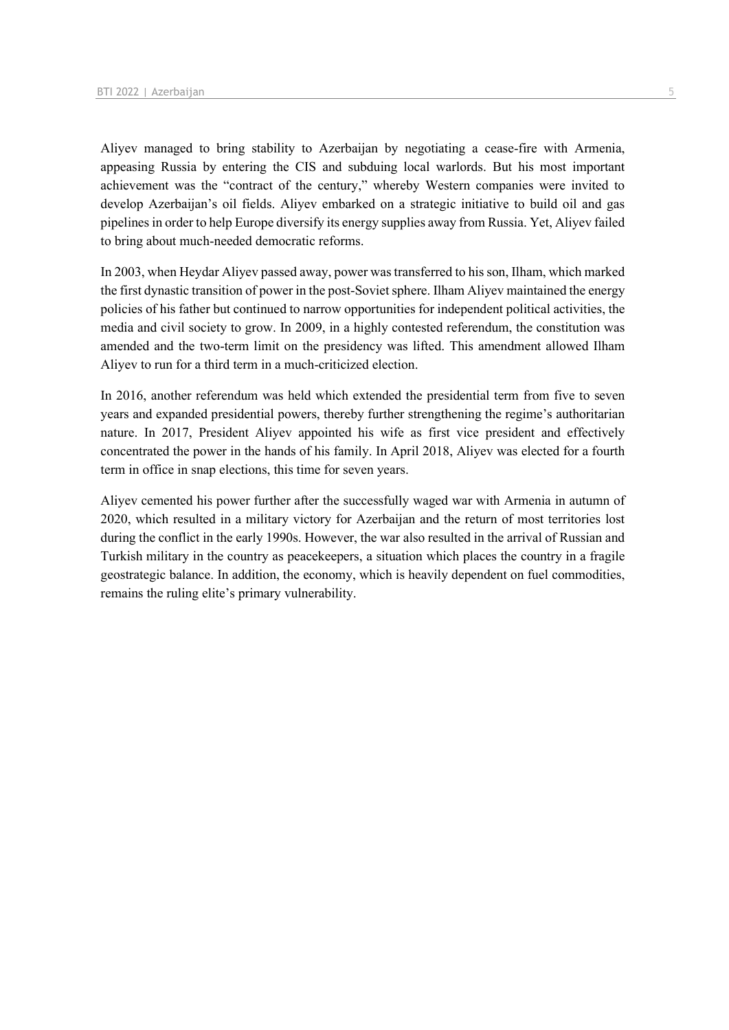Aliyev managed to bring stability to Azerbaijan by negotiating a cease-fire with Armenia, appeasing Russia by entering the CIS and subduing local warlords. But his most important achievement was the "contract of the century," whereby Western companies were invited to develop Azerbaijan's oil fields. Aliyev embarked on a strategic initiative to build oil and gas pipelines in order to help Europe diversify its energy supplies away from Russia. Yet, Aliyev failed to bring about much-needed democratic reforms.

In 2003, when Heydar Aliyev passed away, power was transferred to his son, Ilham, which marked the first dynastic transition of power in the post-Soviet sphere. Ilham Aliyev maintained the energy policies of his father but continued to narrow opportunities for independent political activities, the media and civil society to grow. In 2009, in a highly contested referendum, the constitution was amended and the two-term limit on the presidency was lifted. This amendment allowed Ilham Aliyev to run for a third term in a much-criticized election.

In 2016, another referendum was held which extended the presidential term from five to seven years and expanded presidential powers, thereby further strengthening the regime's authoritarian nature. In 2017, President Aliyev appointed his wife as first vice president and effectively concentrated the power in the hands of his family. In April 2018, Aliyev was elected for a fourth term in office in snap elections, this time for seven years.

Aliyev cemented his power further after the successfully waged war with Armenia in autumn of 2020, which resulted in a military victory for Azerbaijan and the return of most territories lost during the conflict in the early 1990s. However, the war also resulted in the arrival of Russian and Turkish military in the country as peacekeepers, a situation which places the country in a fragile geostrategic balance. In addition, the economy, which is heavily dependent on fuel commodities, remains the ruling elite's primary vulnerability.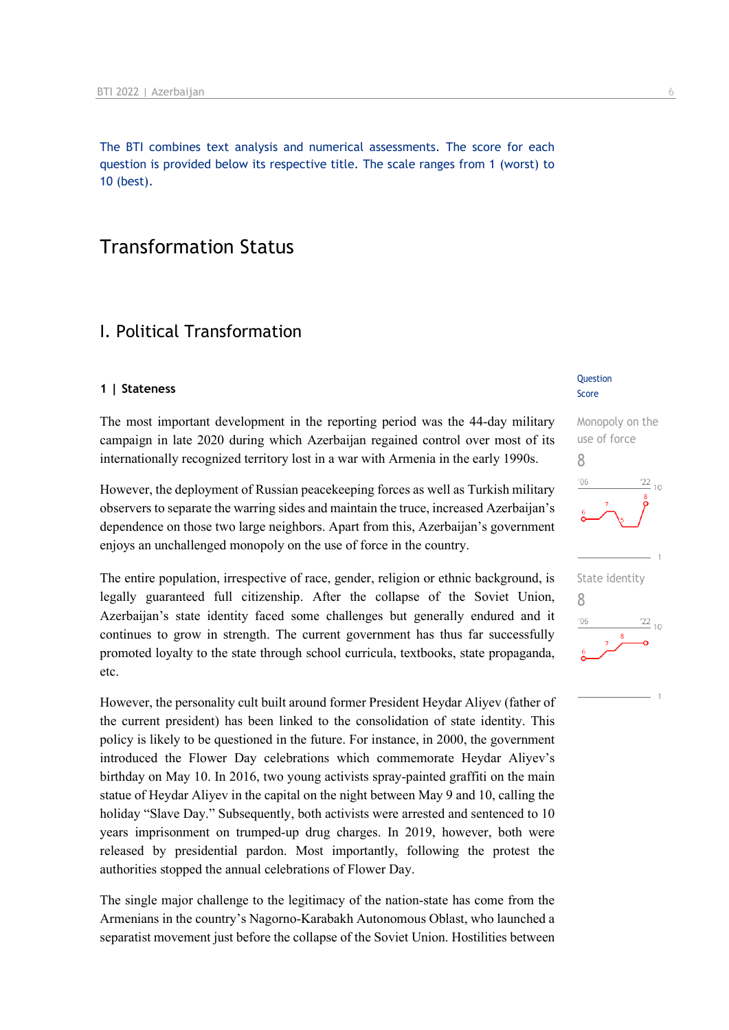The BTI combines text analysis and numerical assessments. The score for each question is provided below its respective title. The scale ranges from 1 (worst) to 10 (best).

## Transformation Status

## I. Political Transformation

#### **1 | Stateness**

The most important development in the reporting period was the 44-day military campaign in late 2020 during which Azerbaijan regained control over most of its internationally recognized territory lost in a war with Armenia in the early 1990s.

However, the deployment of Russian peacekeeping forces as well as Turkish military observers to separate the warring sides and maintain the truce, increased Azerbaijan's dependence on those two large neighbors. Apart from this, Azerbaijan's government enjoys an unchallenged monopoly on the use of force in the country.

The entire population, irrespective of race, gender, religion or ethnic background, is legally guaranteed full citizenship. After the collapse of the Soviet Union, Azerbaijan's state identity faced some challenges but generally endured and it continues to grow in strength. The current government has thus far successfully promoted loyalty to the state through school curricula, textbooks, state propaganda, etc.

However, the personality cult built around former President Heydar Aliyev (father of the current president) has been linked to the consolidation of state identity. This policy is likely to be questioned in the future. For instance, in 2000, the government introduced the Flower Day celebrations which commemorate Heydar Aliyev's birthday on May 10. In 2016, two young activists spray-painted graffiti on the main statue of Heydar Aliyev in the capital on the night between May 9 and 10, calling the holiday "Slave Day." Subsequently, both activists were arrested and sentenced to 10 years imprisonment on trumped-up drug charges. In 2019, however, both were released by presidential pardon. Most importantly, following the protest the authorities stopped the annual celebrations of Flower Day.

The single major challenge to the legitimacy of the nation-state has come from the Armenians in the country's Nagorno-Karabakh Autonomous Oblast, who launched a separatist movement just before the collapse of the Soviet Union. Hostilities between

#### **Question** Score

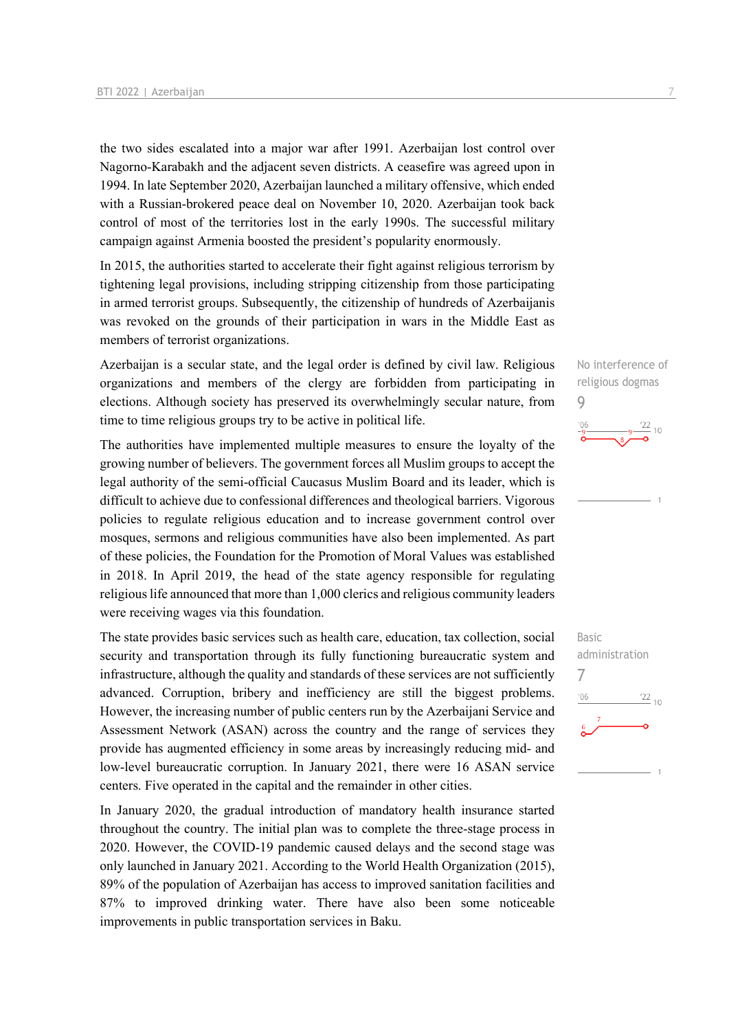the two sides escalated into a major war after 1991. Azerbaijan lost control over Nagorno-Karabakh and the adjacent seven districts. A ceasefire was agreed upon in 1994. In late September 2020, Azerbaijan launched a military offensive, which ended with a Russian-brokered peace deal on November 10, 2020. Azerbaijan took back control of most of the territories lost in the early 1990s. The successful military campaign against Armenia boosted the president's popularity enormously.

In 2015, the authorities started to accelerate their fight against religious terrorism by tightening legal provisions, including stripping citizenship from those participating in armed terrorist groups. Subsequently, the citizenship of hundreds of Azerbaijanis was revoked on the grounds of their participation in wars in the Middle East as members of terrorist organizations.

Azerbaijan is a secular state, and the legal order is defined by civil law. Religious organizations and members of the clergy are forbidden from participating in elections. Although society has preserved its overwhelmingly secular nature, from time to time religious groups try to be active in political life.

The authorities have implemented multiple measures to ensure the loyalty of the growing number of believers. The government forces all Muslim groups to accept the legal authority of the semi-official Caucasus Muslim Board and its leader, which is difficult to achieve due to confessional differences and theological barriers. Vigorous policies to regulate religious education and to increase government control over mosques, sermons and religious communities have also been implemented. As part of these policies, the Foundation for the Promotion of Moral Values was established in 2018. In April 2019, the head of the state agency responsible for regulating religious life announced that more than 1,000 clerics and religious community leaders were receiving wages via this foundation.

The state provides basic services such as health care, education, tax collection, social security and transportation through its fully functioning bureaucratic system and infrastructure, although the quality and standards of these services are not sufficiently advanced. Corruption, bribery and inefficiency are still the biggest problems. However, the increasing number of public centers run by the Azerbaijani Service and Assessment Network (ASAN) across the country and the range of services they provide has augmented efficiency in some areas by increasingly reducing mid- and low-level bureaucratic corruption. In January 2021, there were 16 ASAN service centers. Five operated in the capital and the remainder in other cities.

In January 2020, the gradual introduction of mandatory health insurance started throughout the country. The initial plan was to complete the three-stage process in 2020. However, the COVID-19 pandemic caused delays and the second stage was only launched in January 2021. According to the World Health Organization (2015), 89% of the population of Azerbaijan has access to improved sanitation facilities and 87% to improved drinking water. There have also been some noticeable improvements in public transportation services in Baku.

No interference of religious dogmas 9  $\frac{22}{10}$ 

Basic administration 7 $\frac{22}{10}$  $-06$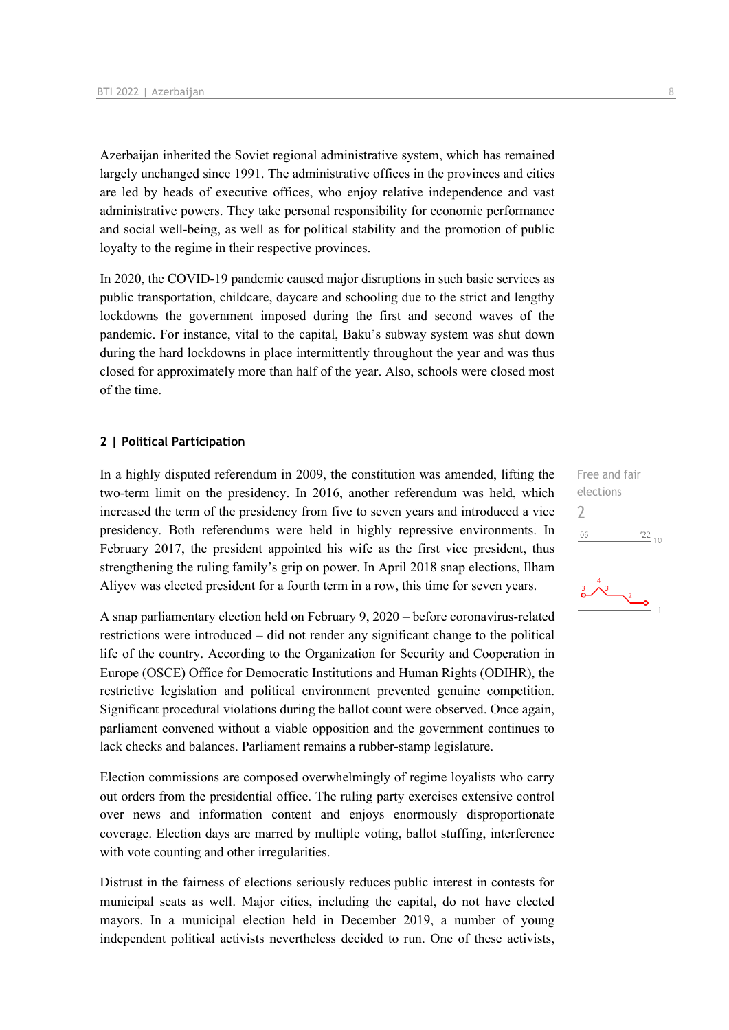Azerbaijan inherited the Soviet regional administrative system, which has remained largely unchanged since 1991. The administrative offices in the provinces and cities are led by heads of executive offices, who enjoy relative independence and vast administrative powers. They take personal responsibility for economic performance and social well-being, as well as for political stability and the promotion of public loyalty to the regime in their respective provinces.

In 2020, the COVID-19 pandemic caused major disruptions in such basic services as public transportation, childcare, daycare and schooling due to the strict and lengthy lockdowns the government imposed during the first and second waves of the pandemic. For instance, vital to the capital, Baku's subway system was shut down during the hard lockdowns in place intermittently throughout the year and was thus closed for approximately more than half of the year. Also, schools were closed most of the time.

#### **2 | Political Participation**

In a highly disputed referendum in 2009, the constitution was amended, lifting the two-term limit on the presidency. In 2016, another referendum was held, which increased the term of the presidency from five to seven years and introduced a vice presidency. Both referendums were held in highly repressive environments. In February 2017, the president appointed his wife as the first vice president, thus strengthening the ruling family's grip on power. In April 2018 snap elections, Ilham Aliyev was elected president for a fourth term in a row, this time for seven years.

A snap parliamentary election held on February 9, 2020 – before coronavirus-related restrictions were introduced – did not render any significant change to the political life of the country. According to the Organization for Security and Cooperation in Europe (OSCE) Office for Democratic Institutions and Human Rights (ODIHR), the restrictive legislation and political environment prevented genuine competition. Significant procedural violations during the ballot count were observed. Once again, parliament convened without a viable opposition and the government continues to lack checks and balances. Parliament remains a rubber-stamp legislature.

Election commissions are composed overwhelmingly of regime loyalists who carry out orders from the presidential office. The ruling party exercises extensive control over news and information content and enjoys enormously disproportionate coverage. Election days are marred by multiple voting, ballot stuffing, interference with vote counting and other irregularities.

Distrust in the fairness of elections seriously reduces public interest in contests for municipal seats as well. Major cities, including the capital, do not have elected mayors. In a municipal election held in December 2019, a number of young independent political activists nevertheless decided to run. One of these activists,

Free and fair elections 2 $-06$  $^{22}$  10

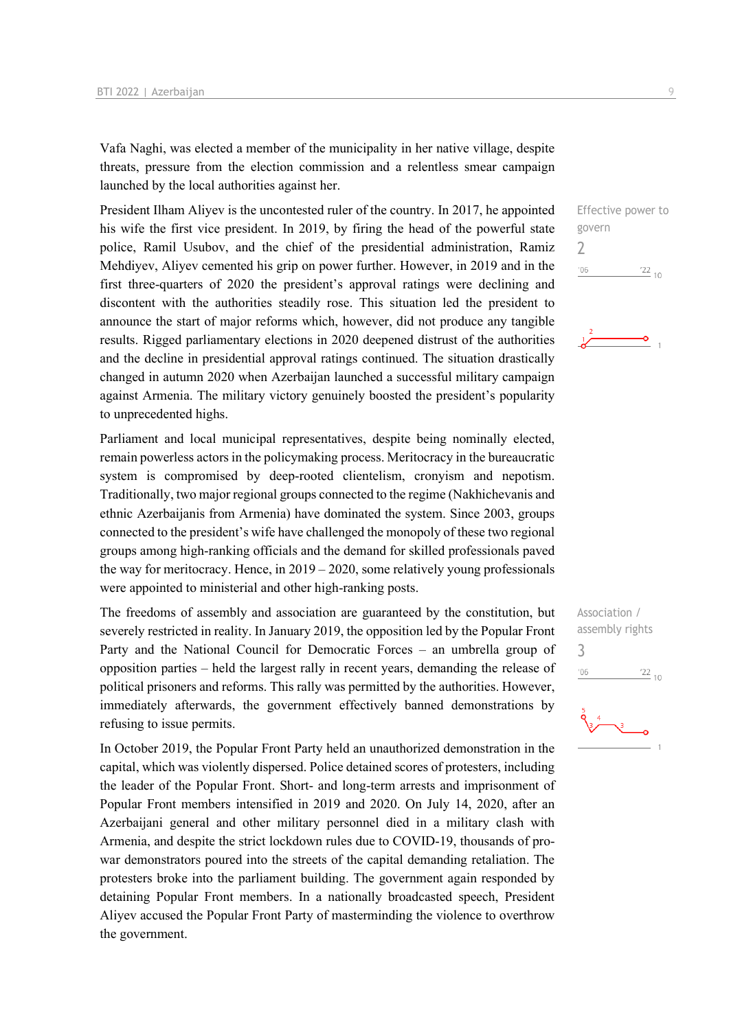Vafa Naghi, was elected a member of the municipality in her native village, despite threats, pressure from the election commission and a relentless smear campaign launched by the local authorities against her.

President Ilham Aliyev is the uncontested ruler of the country. In 2017, he appointed his wife the first vice president. In 2019, by firing the head of the powerful state police, Ramil Usubov, and the chief of the presidential administration, Ramiz Mehdiyev, Aliyev cemented his grip on power further. However, in 2019 and in the first three-quarters of 2020 the president's approval ratings were declining and discontent with the authorities steadily rose. This situation led the president to announce the start of major reforms which, however, did not produce any tangible results. Rigged parliamentary elections in 2020 deepened distrust of the authorities and the decline in presidential approval ratings continued. The situation drastically changed in autumn 2020 when Azerbaijan launched a successful military campaign against Armenia. The military victory genuinely boosted the president's popularity to unprecedented highs.

Parliament and local municipal representatives, despite being nominally elected, remain powerless actors in the policymaking process. Meritocracy in the bureaucratic system is compromised by deep-rooted clientelism, cronyism and nepotism. Traditionally, two major regional groups connected to the regime (Nakhichevanis and ethnic Azerbaijanis from Armenia) have dominated the system. Since 2003, groups connected to the president's wife have challenged the monopoly of these two regional groups among high-ranking officials and the demand for skilled professionals paved the way for meritocracy. Hence, in 2019 – 2020, some relatively young professionals were appointed to ministerial and other high-ranking posts.

The freedoms of assembly and association are guaranteed by the constitution, but severely restricted in reality. In January 2019, the opposition led by the Popular Front Party and the National Council for Democratic Forces – an umbrella group of opposition parties – held the largest rally in recent years, demanding the release of political prisoners and reforms. This rally was permitted by the authorities. However, immediately afterwards, the government effectively banned demonstrations by refusing to issue permits.

In October 2019, the Popular Front Party held an unauthorized demonstration in the capital, which was violently dispersed. Police detained scores of protesters, including the leader of the Popular Front. Short- and long-term arrests and imprisonment of Popular Front members intensified in 2019 and 2020. On July 14, 2020, after an Azerbaijani general and other military personnel died in a military clash with Armenia, and despite the strict lockdown rules due to COVID-19, thousands of prowar demonstrators poured into the streets of the capital demanding retaliation. The protesters broke into the parliament building. The government again responded by detaining Popular Front members. In a nationally broadcasted speech, President Aliyev accused the Popular Front Party of masterminding the violence to overthrow the government.





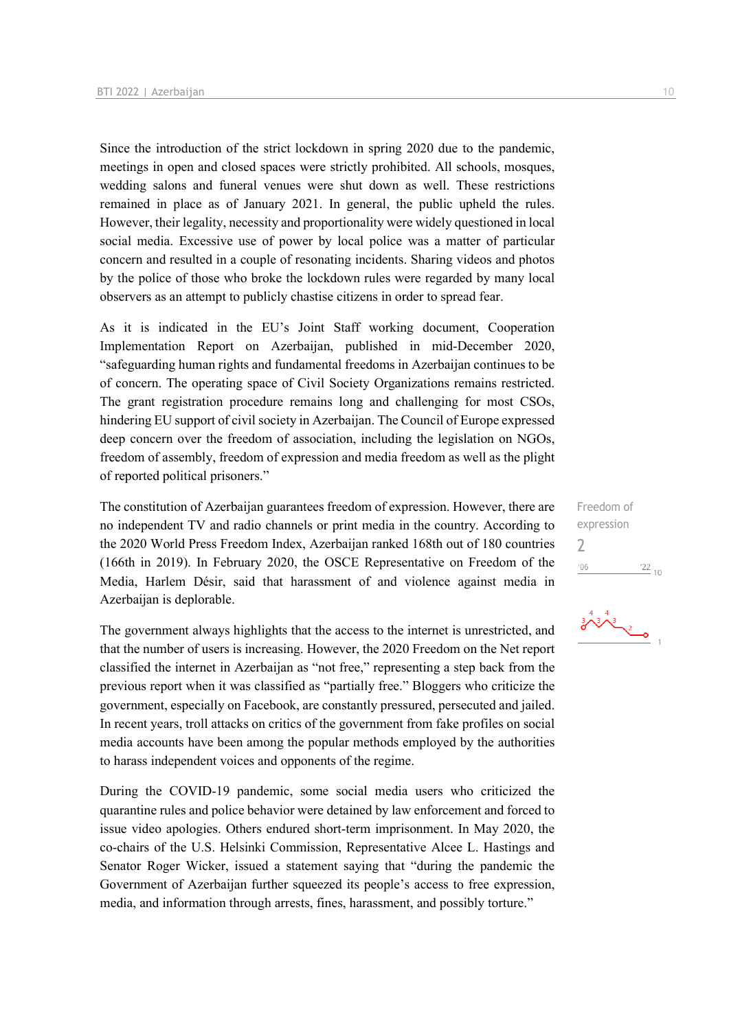Since the introduction of the strict lockdown in spring 2020 due to the pandemic, meetings in open and closed spaces were strictly prohibited. All schools, mosques, wedding salons and funeral venues were shut down as well. These restrictions remained in place as of January 2021. In general, the public upheld the rules. However, their legality, necessity and proportionality were widely questioned in local social media. Excessive use of power by local police was a matter of particular concern and resulted in a couple of resonating incidents. Sharing videos and photos by the police of those who broke the lockdown rules were regarded by many local observers as an attempt to publicly chastise citizens in order to spread fear.

As it is indicated in the EU's Joint Staff working document, Cooperation Implementation Report on Azerbaijan, published in mid-December 2020, "safeguarding human rights and fundamental freedoms in Azerbaijan continues to be of concern. The operating space of Civil Society Organizations remains restricted. The grant registration procedure remains long and challenging for most CSOs, hindering EU support of civil society in Azerbaijan. The Council of Europe expressed deep concern over the freedom of association, including the legislation on NGOs, freedom of assembly, freedom of expression and media freedom as well as the plight of reported political prisoners."

The constitution of Azerbaijan guarantees freedom of expression. However, there are no independent TV and radio channels or print media in the country. According to the 2020 World Press Freedom Index, Azerbaijan ranked 168th out of 180 countries (166th in 2019). In February 2020, the OSCE Representative on Freedom of the Media, Harlem Désir, said that harassment of and violence against media in Azerbaijan is deplorable.

The government always highlights that the access to the internet is unrestricted, and that the number of users is increasing. However, the 2020 Freedom on the Net report classified the internet in Azerbaijan as "not free," representing a step back from the previous report when it was classified as "partially free." Bloggers who criticize the government, especially on Facebook, are constantly pressured, persecuted and jailed. In recent years, troll attacks on critics of the government from fake profiles on social media accounts have been among the popular methods employed by the authorities to harass independent voices and opponents of the regime.

During the COVID-19 pandemic, some social media users who criticized the quarantine rules and police behavior were detained by law enforcement and forced to issue video apologies. Others endured short-term imprisonment. In May 2020, the co-chairs of the U.S. Helsinki Commission, Representative Alcee L. Hastings and Senator Roger Wicker, issued a statement saying that "during the pandemic the Government of Azerbaijan further squeezed its people's access to free expression, media, and information through arrests, fines, harassment, and possibly torture."

Freedom of expression  $\overline{\phantom{0}}$  $\frac{22}{10}$  $'06$ 

 $\frac{2}{\sqrt{2}}$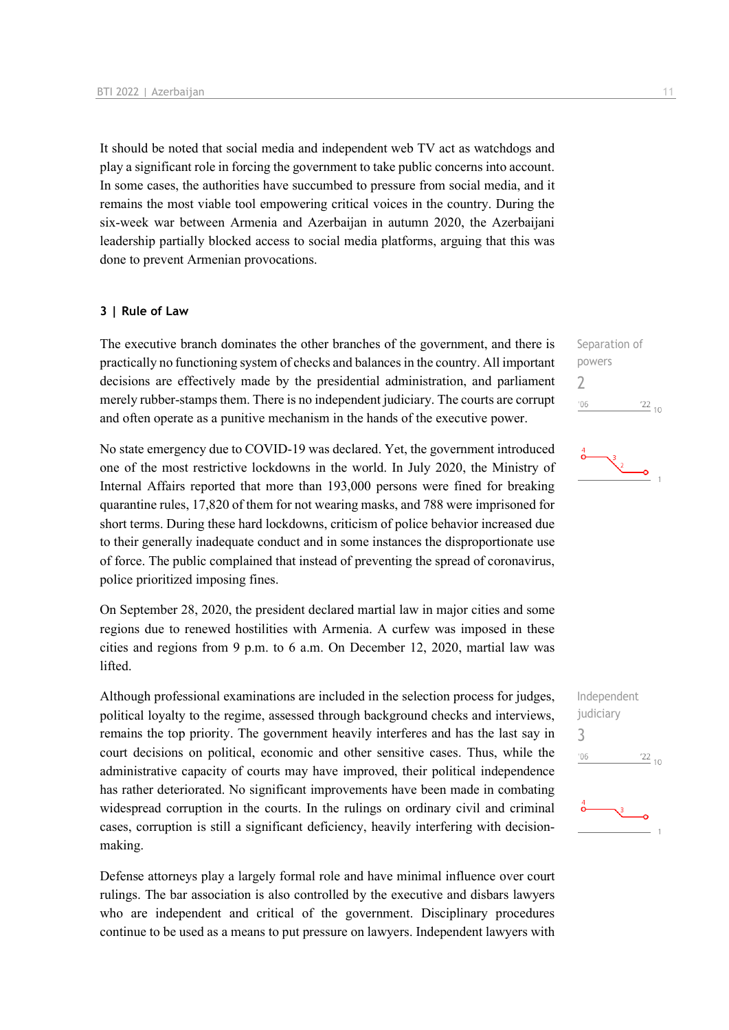It should be noted that social media and independent web TV act as watchdogs and play a significant role in forcing the government to take public concerns into account. In some cases, the authorities have succumbed to pressure from social media, and it remains the most viable tool empowering critical voices in the country. During the six-week war between Armenia and Azerbaijan in autumn 2020, the Azerbaijani leadership partially blocked access to social media platforms, arguing that this was done to prevent Armenian provocations.

#### **3 | Rule of Law**

The executive branch dominates the other branches of the government, and there is practically no functioning system of checks and balances in the country. All important decisions are effectively made by the presidential administration, and parliament merely rubber-stamps them. There is no independent judiciary. The courts are corrupt and often operate as a punitive mechanism in the hands of the executive power.

No state emergency due to COVID-19 was declared. Yet, the government introduced one of the most restrictive lockdowns in the world. In July 2020, the Ministry of Internal Affairs reported that more than 193,000 persons were fined for breaking quarantine rules, 17,820 of them for not wearing masks, and 788 were imprisoned for short terms. During these hard lockdowns, criticism of police behavior increased due to their generally inadequate conduct and in some instances the disproportionate use of force. The public complained that instead of preventing the spread of coronavirus, police prioritized imposing fines.

On September 28, 2020, the president declared martial law in major cities and some regions due to renewed hostilities with Armenia. A curfew was imposed in these cities and regions from 9 p.m. to 6 a.m. On December 12, 2020, martial law was lifted.

Although professional examinations are included in the selection process for judges, political loyalty to the regime, assessed through background checks and interviews, remains the top priority. The government heavily interferes and has the last say in court decisions on political, economic and other sensitive cases. Thus, while the administrative capacity of courts may have improved, their political independence has rather deteriorated. No significant improvements have been made in combating widespread corruption in the courts. In the rulings on ordinary civil and criminal cases, corruption is still a significant deficiency, heavily interfering with decisionmaking.

Defense attorneys play a largely formal role and have minimal influence over court rulings. The bar association is also controlled by the executive and disbars lawyers who are independent and critical of the government. Disciplinary procedures continue to be used as a means to put pressure on lawyers. Independent lawyers with

Separation of powers  $\overline{\phantom{0}}$  $106$  $\frac{22}{10}$ 



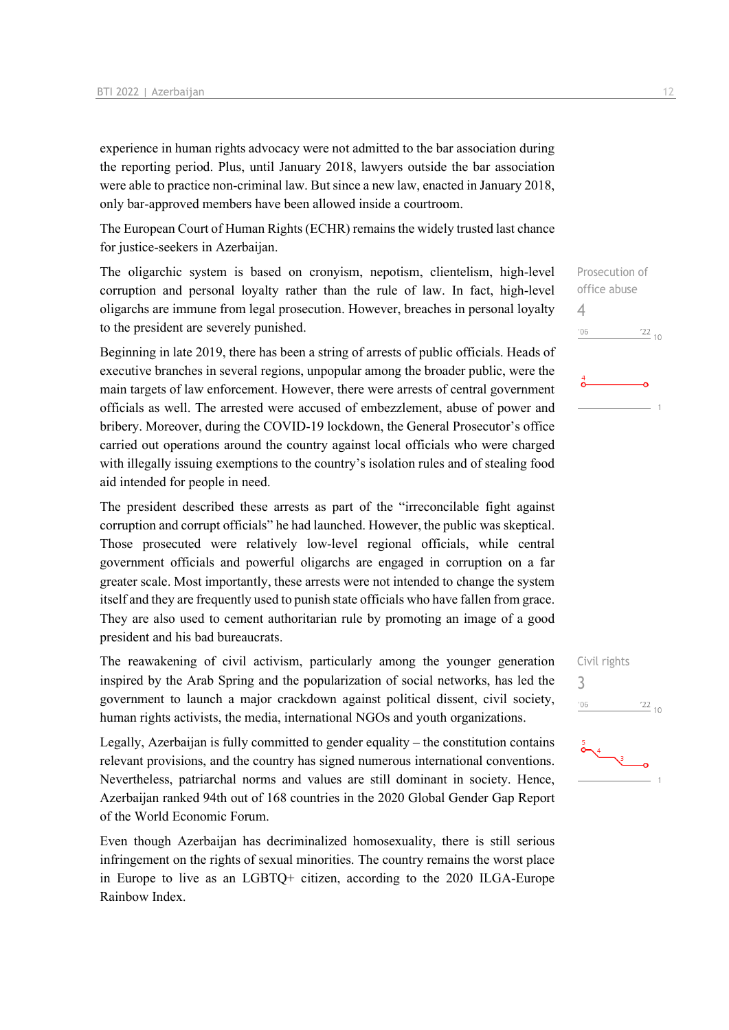experience in human rights advocacy were not admitted to the bar association during the reporting period. Plus, until January 2018, lawyers outside the bar association were able to practice non-criminal law. But since a new law, enacted in January 2018, only bar-approved members have been allowed inside a courtroom.

The European Court of Human Rights (ECHR) remains the widely trusted last chance for justice-seekers in Azerbaijan.

The oligarchic system is based on cronyism, nepotism, clientelism, high-level corruption and personal loyalty rather than the rule of law. In fact, high-level oligarchs are immune from legal prosecution. However, breaches in personal loyalty to the president are severely punished.

Beginning in late 2019, there has been a string of arrests of public officials. Heads of executive branches in several regions, unpopular among the broader public, were the main targets of law enforcement. However, there were arrests of central government officials as well. The arrested were accused of embezzlement, abuse of power and bribery. Moreover, during the COVID-19 lockdown, the General Prosecutor's office carried out operations around the country against local officials who were charged with illegally issuing exemptions to the country's isolation rules and of stealing food aid intended for people in need.

The president described these arrests as part of the "irreconcilable fight against corruption and corrupt officials" he had launched. However, the public was skeptical. Those prosecuted were relatively low-level regional officials, while central government officials and powerful oligarchs are engaged in corruption on a far greater scale. Most importantly, these arrests were not intended to change the system itself and they are frequently used to punish state officials who have fallen from grace. They are also used to cement authoritarian rule by promoting an image of a good president and his bad bureaucrats.

The reawakening of civil activism, particularly among the younger generation inspired by the Arab Spring and the popularization of social networks, has led the government to launch a major crackdown against political dissent, civil society, human rights activists, the media, international NGOs and youth organizations.

Legally, Azerbaijan is fully committed to gender equality – the constitution contains relevant provisions, and the country has signed numerous international conventions. Nevertheless, patriarchal norms and values are still dominant in society. Hence, Azerbaijan ranked 94th out of 168 countries in the 2020 Global Gender Gap Report of the World Economic Forum.

Even though Azerbaijan has decriminalized homosexuality, there is still serious infringement on the rights of sexual minorities. The country remains the worst place in Europe to live as an LGBTQ+ citizen, according to the 2020 ILGA-Europe Rainbow Index.

 $\frac{22}{10}$ 

4

 $'06$ 



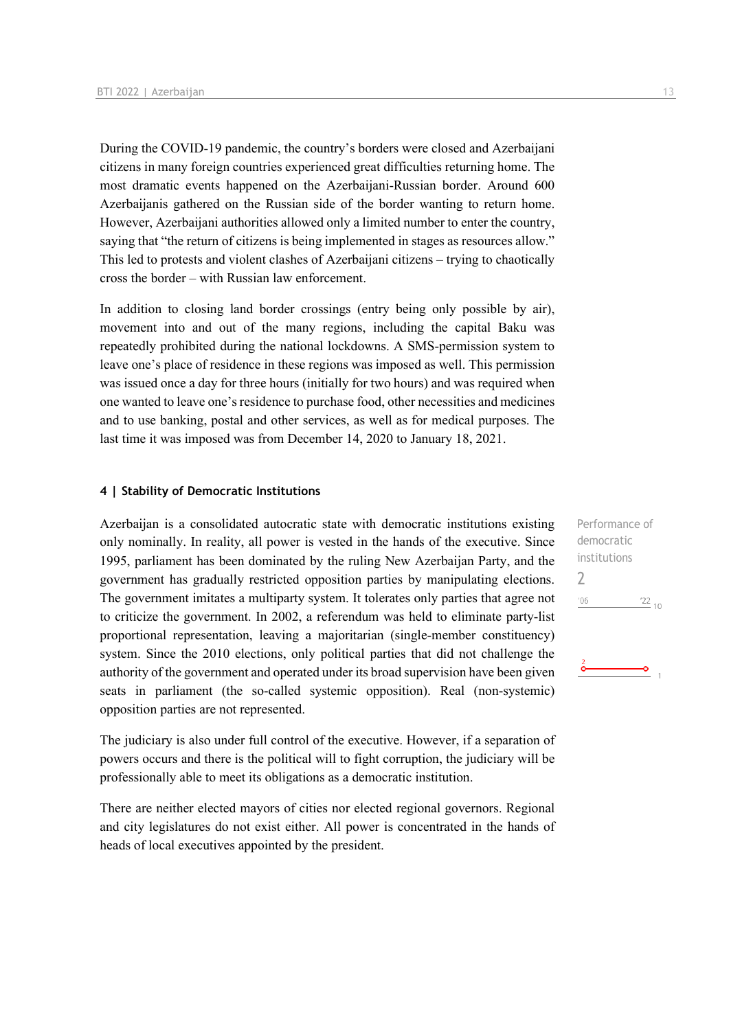During the COVID-19 pandemic, the country's borders were closed and Azerbaijani citizens in many foreign countries experienced great difficulties returning home. The most dramatic events happened on the Azerbaijani-Russian border. Around 600 Azerbaijanis gathered on the Russian side of the border wanting to return home. However, Azerbaijani authorities allowed only a limited number to enter the country, saying that "the return of citizens is being implemented in stages as resources allow." This led to protests and violent clashes of Azerbaijani citizens – trying to chaotically cross the border – with Russian law enforcement.

In addition to closing land border crossings (entry being only possible by air), movement into and out of the many regions, including the capital Baku was repeatedly prohibited during the national lockdowns. A SMS-permission system to leave one's place of residence in these regions was imposed as well. This permission was issued once a day for three hours (initially for two hours) and was required when one wanted to leave one's residence to purchase food, other necessities and medicines and to use banking, postal and other services, as well as for medical purposes. The last time it was imposed was from December 14, 2020 to January 18, 2021.

#### **4 | Stability of Democratic Institutions**

Azerbaijan is a consolidated autocratic state with democratic institutions existing only nominally. In reality, all power is vested in the hands of the executive. Since 1995, parliament has been dominated by the ruling New Azerbaijan Party, and the government has gradually restricted opposition parties by manipulating elections. The government imitates a multiparty system. It tolerates only parties that agree not to criticize the government. In 2002, a referendum was held to eliminate party-list proportional representation, leaving a majoritarian (single-member constituency) system. Since the 2010 elections, only political parties that did not challenge the authority of the government and operated under its broad supervision have been given seats in parliament (the so-called systemic opposition). Real (non-systemic) opposition parties are not represented.

The judiciary is also under full control of the executive. However, if a separation of powers occurs and there is the political will to fight corruption, the judiciary will be professionally able to meet its obligations as a democratic institution.

There are neither elected mayors of cities nor elected regional governors. Regional and city legislatures do not exist either. All power is concentrated in the hands of heads of local executives appointed by the president.

Performance of democratic institutions 2 $\frac{22}{10}$  $'06$  $\overline{\bullet}$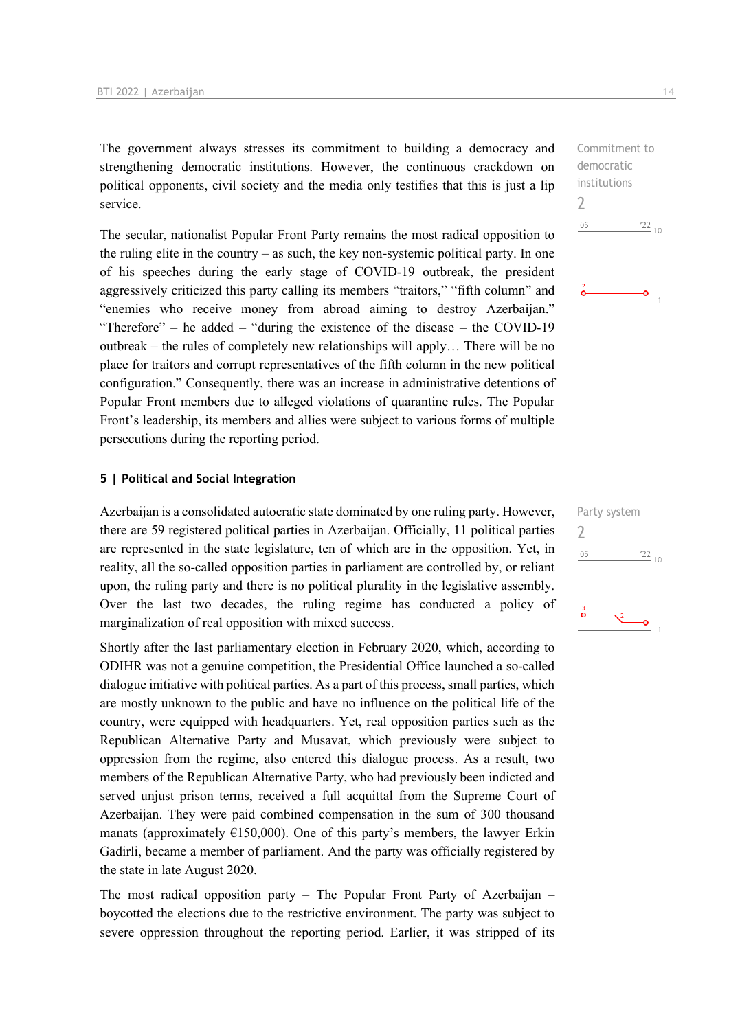The government always stresses its commitment to building a democracy and strengthening democratic institutions. However, the continuous crackdown on political opponents, civil society and the media only testifies that this is just a lip service.

The secular, nationalist Popular Front Party remains the most radical opposition to the ruling elite in the country – as such, the key non-systemic political party. In one of his speeches during the early stage of COVID-19 outbreak, the president aggressively criticized this party calling its members "traitors," "fifth column" and "enemies who receive money from abroad aiming to destroy Azerbaijan." "Therefore" – he added – "during the existence of the disease – the COVID-19 outbreak – the rules of completely new relationships will apply… There will be no place for traitors and corrupt representatives of the fifth column in the new political configuration." Consequently, there was an increase in administrative detentions of Popular Front members due to alleged violations of quarantine rules. The Popular Front's leadership, its members and allies were subject to various forms of multiple persecutions during the reporting period.

#### **5 | Political and Social Integration**

Azerbaijan is a consolidated autocratic state dominated by one ruling party. However, there are 59 registered political parties in Azerbaijan. Officially, 11 political parties are represented in the state legislature, ten of which are in the opposition. Yet, in reality, all the so-called opposition parties in parliament are controlled by, or reliant upon, the ruling party and there is no political plurality in the legislative assembly. Over the last two decades, the ruling regime has conducted a policy of marginalization of real opposition with mixed success.

Shortly after the last parliamentary election in February 2020, which, according to ODIHR was not a genuine competition, the Presidential Office launched a so-called dialogue initiative with political parties. As a part of this process, small parties, which are mostly unknown to the public and have no influence on the political life of the country, were equipped with headquarters. Yet, real opposition parties such as the Republican Alternative Party and Musavat, which previously were subject to oppression from the regime, also entered this dialogue process. As a result, two members of the Republican Alternative Party, who had previously been indicted and served unjust prison terms, received a full acquittal from the Supreme Court of Azerbaijan. They were paid combined compensation in the sum of 300 thousand manats (approximately  $E150,000$ ). One of this party's members, the lawyer Erkin Gadirli, became a member of parliament. And the party was officially registered by the state in late August 2020.

The most radical opposition party – The Popular Front Party of Azerbaijan – boycotted the elections due to the restrictive environment. The party was subject to severe oppression throughout the reporting period. Earlier, it was stripped of its Commitment to democratic institutions 2  $\frac{22}{10}$  $106$ 

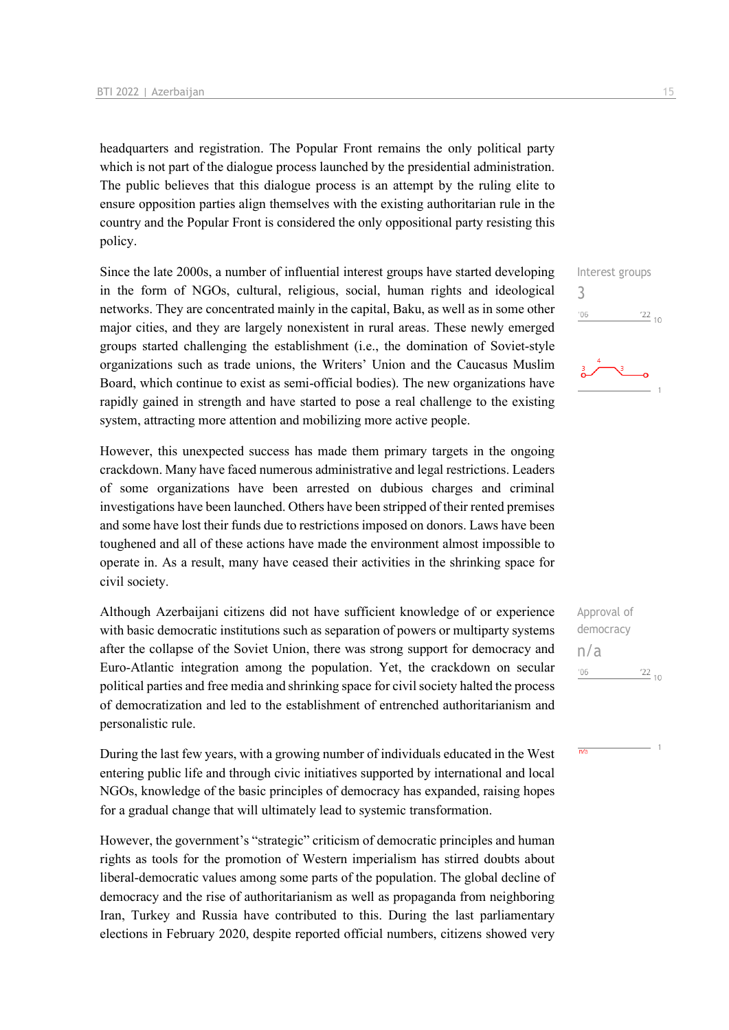headquarters and registration. The Popular Front remains the only political party which is not part of the dialogue process launched by the presidential administration. The public believes that this dialogue process is an attempt by the ruling elite to ensure opposition parties align themselves with the existing authoritarian rule in the country and the Popular Front is considered the only oppositional party resisting this policy.

Since the late 2000s, a number of influential interest groups have started developing in the form of NGOs, cultural, religious, social, human rights and ideological networks. They are concentrated mainly in the capital, Baku, as well as in some other major cities, and they are largely nonexistent in rural areas. These newly emerged groups started challenging the establishment (i.e., the domination of Soviet-style organizations such as trade unions, the Writers' Union and the Caucasus Muslim Board, which continue to exist as semi-official bodies). The new organizations have rapidly gained in strength and have started to pose a real challenge to the existing system, attracting more attention and mobilizing more active people.

However, this unexpected success has made them primary targets in the ongoing crackdown. Many have faced numerous administrative and legal restrictions. Leaders of some organizations have been arrested on dubious charges and criminal investigations have been launched. Others have been stripped of their rented premises and some have lost their funds due to restrictions imposed on donors. Laws have been toughened and all of these actions have made the environment almost impossible to operate in. As a result, many have ceased their activities in the shrinking space for civil society.

Although Azerbaijani citizens did not have sufficient knowledge of or experience with basic democratic institutions such as separation of powers or multiparty systems after the collapse of the Soviet Union, there was strong support for democracy and Euro-Atlantic integration among the population. Yet, the crackdown on secular political parties and free media and shrinking space for civil society halted the process of democratization and led to the establishment of entrenched authoritarianism and personalistic rule.

During the last few years, with a growing number of individuals educated in the West entering public life and through civic initiatives supported by international and local NGOs, knowledge of the basic principles of democracy has expanded, raising hopes for a gradual change that will ultimately lead to systemic transformation.

However, the government's "strategic" criticism of democratic principles and human rights as tools for the promotion of Western imperialism has stirred doubts about liberal-democratic values among some parts of the population. The global decline of democracy and the rise of authoritarianism as well as propaganda from neighboring Iran, Turkey and Russia have contributed to this. During the last parliamentary elections in February 2020, despite reported official numbers, citizens showed very

3

| Approval of |            |  |
|-------------|------------|--|
| democracy   |            |  |
| n/a         |            |  |
| '06         | $122_{10}$ |  |

 $\overline{n/a}$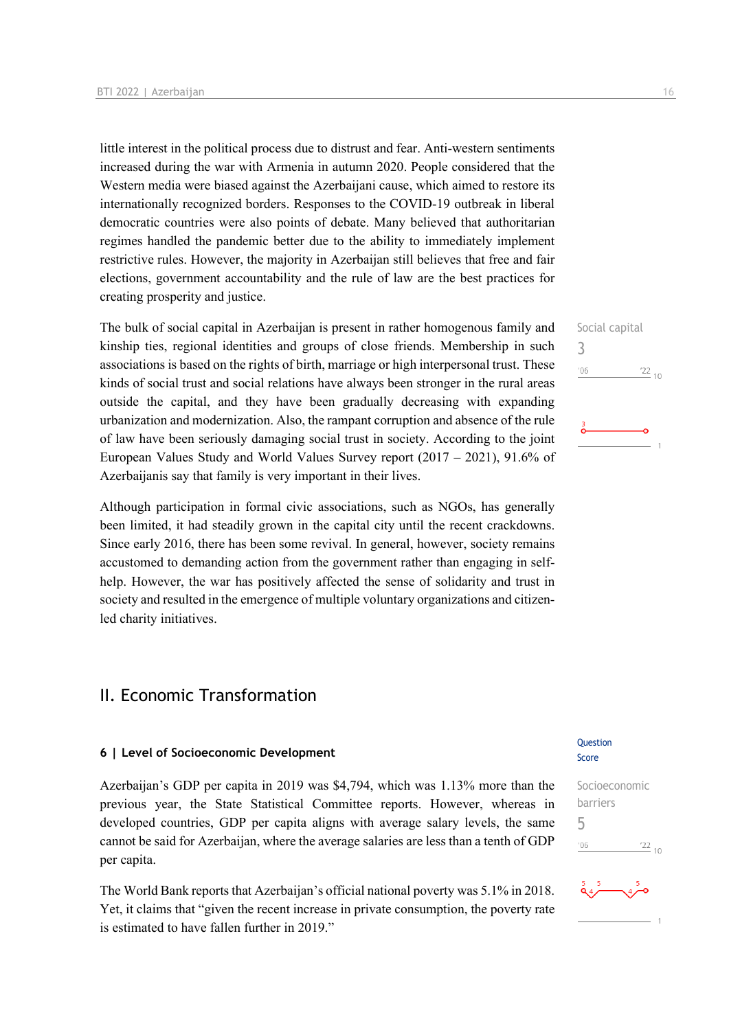little interest in the political process due to distrust and fear. Anti-western sentiments increased during the war with Armenia in autumn 2020. People considered that the Western media were biased against the Azerbaijani cause, which aimed to restore its internationally recognized borders. Responses to the COVID-19 outbreak in liberal democratic countries were also points of debate. Many believed that authoritarian regimes handled the pandemic better due to the ability to immediately implement restrictive rules. However, the majority in Azerbaijan still believes that free and fair elections, government accountability and the rule of law are the best practices for creating prosperity and justice.

The bulk of social capital in Azerbaijan is present in rather homogenous family and kinship ties, regional identities and groups of close friends. Membership in such associations is based on the rights of birth, marriage or high interpersonal trust. These kinds of social trust and social relations have always been stronger in the rural areas outside the capital, and they have been gradually decreasing with expanding urbanization and modernization. Also, the rampant corruption and absence of the rule of law have been seriously damaging social trust in society. According to the joint European Values Study and World Values Survey report (2017 – 2021), 91.6% of Azerbaijanis say that family is very important in their lives.

Although participation in formal civic associations, such as NGOs, has generally been limited, it had steadily grown in the capital city until the recent crackdowns. Since early 2016, there has been some revival. In general, however, society remains accustomed to demanding action from the government rather than engaging in selfhelp. However, the war has positively affected the sense of solidarity and trust in society and resulted in the emergence of multiple voluntary organizations and citizenled charity initiatives.

## II. Economic Transformation

#### **6 | Level of Socioeconomic Development**

Azerbaijan's GDP per capita in 2019 was \$4,794, which was 1.13% more than the previous year, the State Statistical Committee reports. However, whereas in developed countries, GDP per capita aligns with average salary levels, the same cannot be said for Azerbaijan, where the average salaries are less than a tenth of GDP per capita.

The World Bank reports that Azerbaijan's official national poverty was 5.1% in 2018. Yet, it claims that "given the recent increase in private consumption, the poverty rate is estimated to have fallen further in 2019."

#### **Ouestion** Score

Socioeconomic barriers 5 $\frac{22}{10}$  $-06$ 



Social capital 3  $n<sub>6</sub>$  $\frac{22}{10}$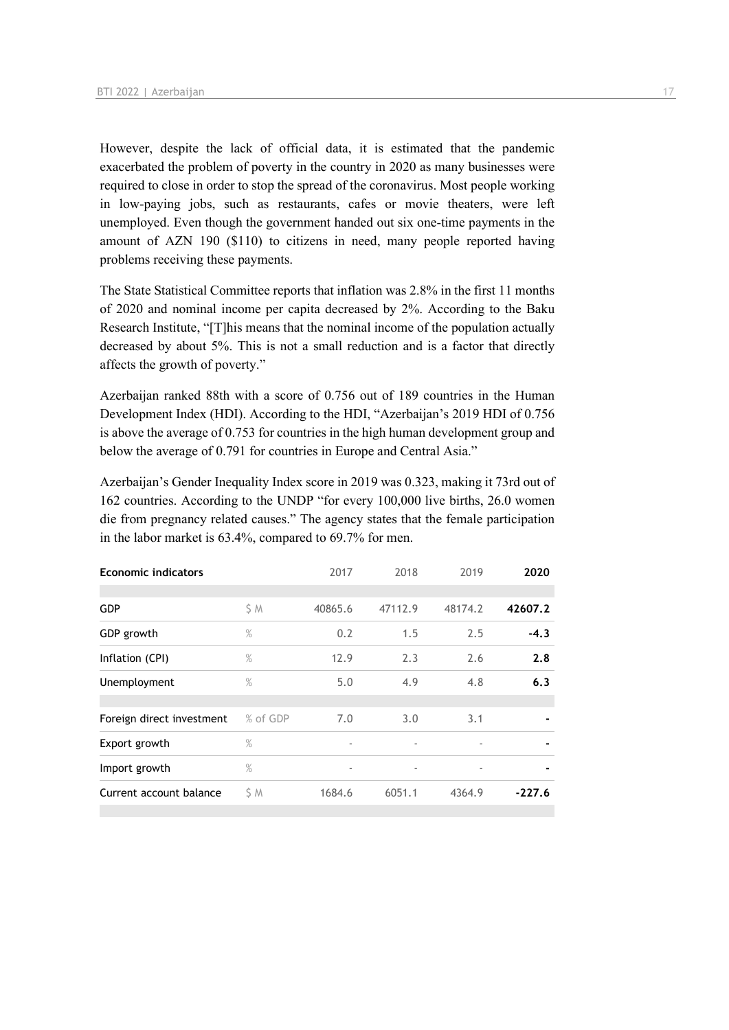However, despite the lack of official data, it is estimated that the pandemic exacerbated the problem of poverty in the country in 2020 as many businesses were required to close in order to stop the spread of the coronavirus. Most people working in low-paying jobs, such as restaurants, cafes or movie theaters, were left unemployed. Even though the government handed out six one-time payments in the amount of AZN 190 (\$110) to citizens in need, many people reported having problems receiving these payments.

The State Statistical Committee reports that inflation was 2.8% in the first 11 months of 2020 and nominal income per capita decreased by 2%. According to the Baku Research Institute, "[T]his means that the nominal income of the population actually decreased by about 5%. This is not a small reduction and is a factor that directly affects the growth of poverty."

Azerbaijan ranked 88th with a score of 0.756 out of 189 countries in the Human Development Index (HDI). According to the HDI, "Azerbaijan's 2019 HDI of 0.756 is above the average of 0.753 for countries in the high human development group and below the average of 0.791 for countries in Europe and Central Asia."

Azerbaijan's Gender Inequality Index score in 2019 was 0.323, making it 73rd out of 162 countries. According to the UNDP "for every 100,000 live births, 26.0 women die from pregnancy related causes." The agency states that the female participation in the labor market is 63.4%, compared to 69.7% for men.

| <b>Economic indicators</b> |          | 2017                     | 2018                     | 2019                     | 2020     |
|----------------------------|----------|--------------------------|--------------------------|--------------------------|----------|
| <b>GDP</b>                 | \$ M     | 40865.6                  | 47112.9                  | 48174.2                  | 42607.2  |
| GDP growth                 | $\%$     | 0.2                      | 1.5                      | 2.5                      | $-4.3$   |
| Inflation (CPI)            | $\%$     | 12.9                     | 2.3                      | 2.6                      | 2.8      |
| Unemployment               | $\%$     | 5.0                      | 4.9                      | 4.8                      | 6.3      |
|                            |          |                          |                          |                          |          |
| Foreign direct investment  | % of GDP | 7.0                      | 3.0                      | 3.1                      |          |
| Export growth              | $\%$     | $\overline{\phantom{a}}$ | $\overline{\phantom{a}}$ | $\overline{\phantom{a}}$ |          |
| Import growth              | $\%$     | $\overline{\phantom{a}}$ | $\overline{\phantom{a}}$ | $\overline{\phantom{a}}$ |          |
| Current account balance    | S M      | 1684.6                   | 6051.1                   | 4364.9                   | $-227.6$ |
|                            |          |                          |                          |                          |          |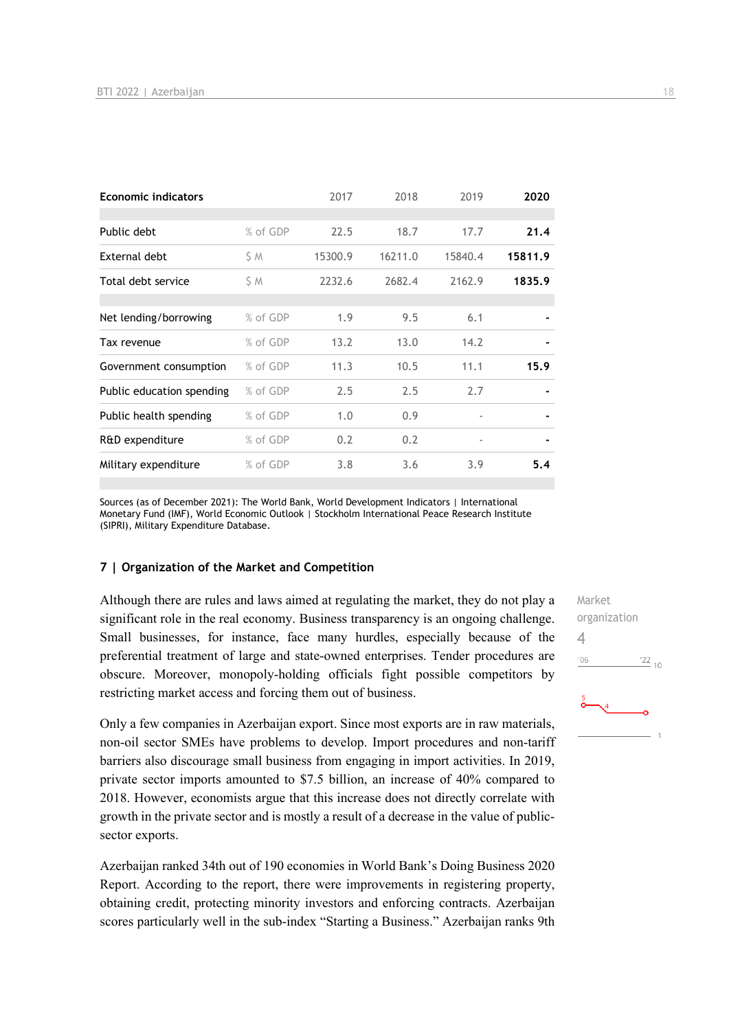| <b>Economic indicators</b> |          | 2017    | 2018    | 2019                     | 2020    |
|----------------------------|----------|---------|---------|--------------------------|---------|
|                            |          |         |         |                          |         |
| Public debt                | % of GDP | 22.5    | 18.7    | 17.7                     | 21.4    |
| External debt              | S M      | 15300.9 | 16211.0 | 15840.4                  | 15811.9 |
| Total debt service         | ŚΜ       | 2232.6  | 2682.4  | 2162.9                   | 1835.9  |
|                            |          |         |         |                          |         |
| Net lending/borrowing      | % of GDP | 1.9     | 9.5     | 6.1                      |         |
| Tax revenue                | % of GDP | 13.2    | 13.0    | 14.2                     |         |
| Government consumption     | % of GDP | 11.3    | 10.5    | 11.1                     | 15.9    |
| Public education spending  | % of GDP | 2.5     | 2.5     | 2.7                      |         |
| Public health spending     | % of GDP | 1.0     | 0.9     | $\overline{\phantom{a}}$ |         |
| R&D expenditure            | % of GDP | 0.2     | 0.2     | $\overline{\phantom{a}}$ |         |
| Military expenditure       | % of GDP | 3.8     | 3.6     | 3.9                      | 5.4     |

Sources (as of December 2021): The World Bank, World Development Indicators | International Monetary Fund (IMF), World Economic Outlook | Stockholm International Peace Research Institute (SIPRI), Military Expenditure Database.

#### **7 | Organization of the Market and Competition**

Although there are rules and laws aimed at regulating the market, they do not play a significant role in the real economy. Business transparency is an ongoing challenge. Small businesses, for instance, face many hurdles, especially because of the preferential treatment of large and state-owned enterprises. Tender procedures are obscure. Moreover, monopoly-holding officials fight possible competitors by restricting market access and forcing them out of business.

Only a few companies in Azerbaijan export. Since most exports are in raw materials, non-oil sector SMEs have problems to develop. Import procedures and non-tariff barriers also discourage small business from engaging in import activities. In 2019, private sector imports amounted to \$7.5 billion, an increase of 40% compared to 2018. However, economists argue that this increase does not directly correlate with growth in the private sector and is mostly a result of a decrease in the value of publicsector exports.

Azerbaijan ranked 34th out of 190 economies in World Bank's Doing Business 2020 Report. According to the report, there were improvements in registering property, obtaining credit, protecting minority investors and enforcing contracts. Azerbaijan scores particularly well in the sub-index "Starting a Business." Azerbaijan ranks 9th Market organization 4 $\frac{22}{10}$  $'06$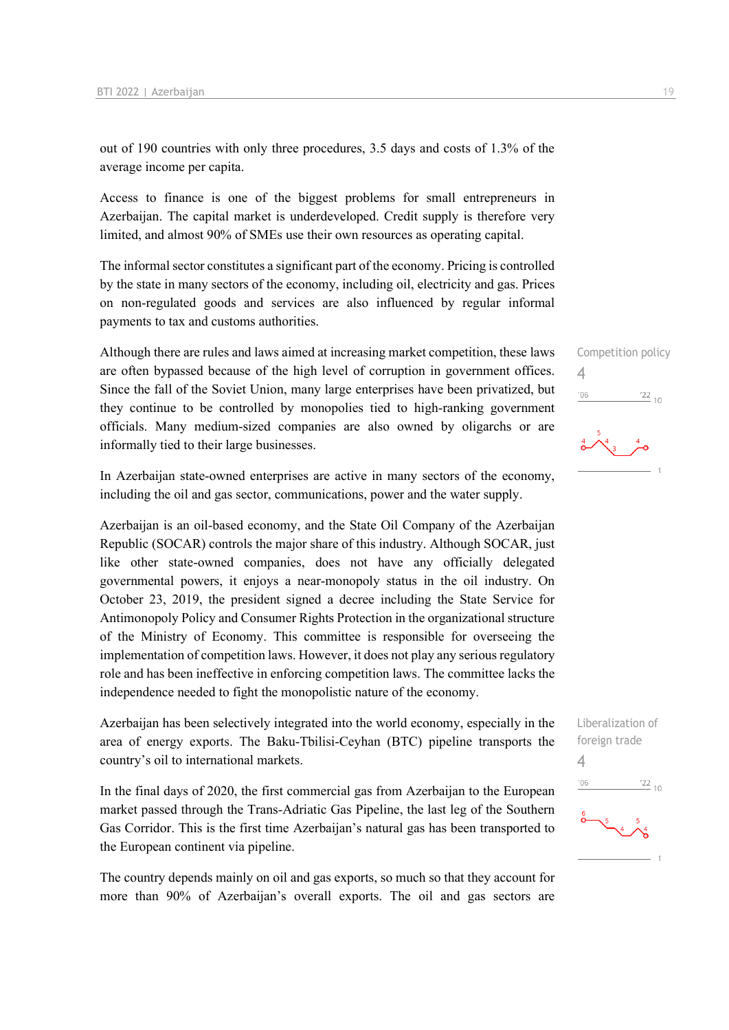out of 190 countries with only three procedures, 3.5 days and costs of 1.3% of the average income per capita.

Access to finance is one of the biggest problems for small entrepreneurs in Azerbaijan. The capital market is underdeveloped. Credit supply is therefore very limited, and almost 90% of SMEs use their own resources as operating capital.

The informal sector constitutes a significant part of the economy. Pricing is controlled by the state in many sectors of the economy, including oil, electricity and gas. Prices on non-regulated goods and services are also influenced by regular informal payments to tax and customs authorities.

Although there are rules and laws aimed at increasing market competition, these laws are often bypassed because of the high level of corruption in government offices. Since the fall of the Soviet Union, many large enterprises have been privatized, but they continue to be controlled by monopolies tied to high-ranking government officials. Many medium-sized companies are also owned by oligarchs or are informally tied to their large businesses.

In Azerbaijan state-owned enterprises are active in many sectors of the economy, including the oil and gas sector, communications, power and the water supply.

Azerbaijan is an oil-based economy, and the State Oil Company of the Azerbaijan Republic (SOCAR) controls the major share of this industry. Although SOCAR, just like other state-owned companies, does not have any officially delegated governmental powers, it enjoys a near-monopoly status in the oil industry. On October 23, 2019, the president signed a decree including the State Service for Antimonopoly Policy and Consumer Rights Protection in the organizational structure of the Ministry of Economy. This committee is responsible for overseeing the implementation of competition laws. However, it does not play any serious regulatory role and has been ineffective in enforcing competition laws. The committee lacks the independence needed to fight the monopolistic nature of the economy.

Azerbaijan has been selectively integrated into the world economy, especially in the area of energy exports. The Baku-Tbilisi-Ceyhan (BTC) pipeline transports the country's oil to international markets.

In the final days of 2020, the first commercial gas from Azerbaijan to the European market passed through the Trans-Adriatic Gas Pipeline, the last leg of the Southern Gas Corridor. This is the first time Azerbaijan's natural gas has been transported to the European continent via pipeline.

The country depends mainly on oil and gas exports, so much so that they account for more than 90% of Azerbaijan's overall exports. The oil and gas sectors are

Competition policy 4  $'06$  $\frac{22}{10}$ 



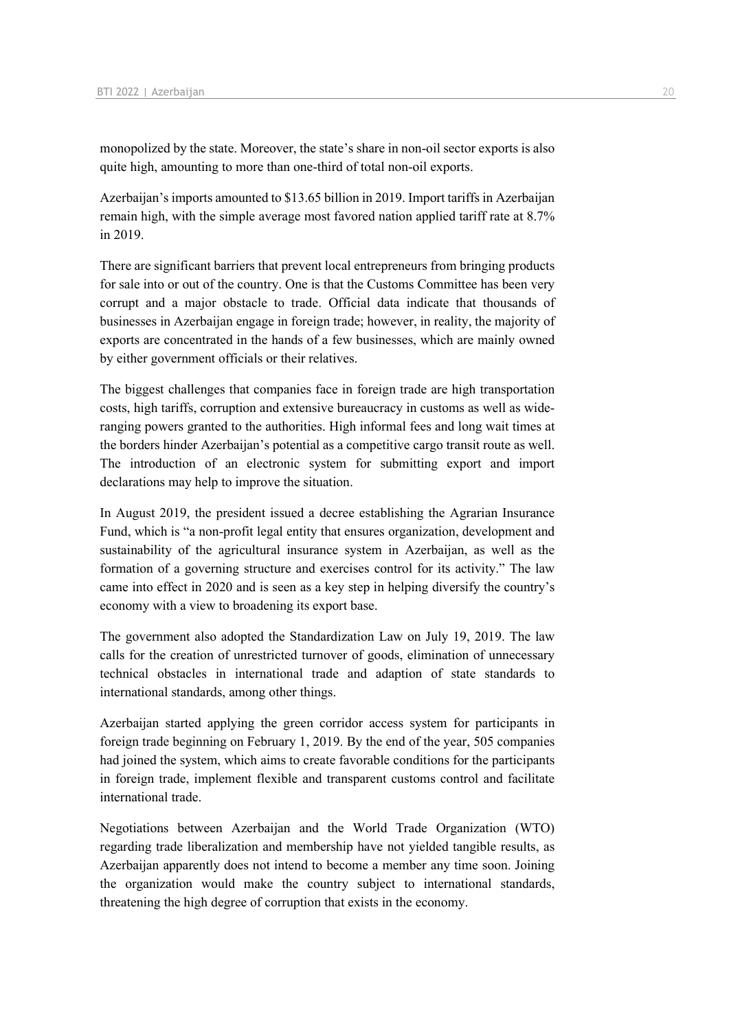monopolized by the state. Moreover, the state's share in non-oil sector exports is also quite high, amounting to more than one-third of total non-oil exports.

Azerbaijan's imports amounted to \$13.65 billion in 2019. Import tariffs in Azerbaijan remain high, with the simple average most favored nation applied tariff rate at 8.7% in 2019.

There are significant barriers that prevent local entrepreneurs from bringing products for sale into or out of the country. One is that the Customs Committee has been very corrupt and a major obstacle to trade. Official data indicate that thousands of businesses in Azerbaijan engage in foreign trade; however, in reality, the majority of exports are concentrated in the hands of a few businesses, which are mainly owned by either government officials or their relatives.

The biggest challenges that companies face in foreign trade are high transportation costs, high tariffs, corruption and extensive bureaucracy in customs as well as wideranging powers granted to the authorities. High informal fees and long wait times at the borders hinder Azerbaijan's potential as a competitive cargo transit route as well. The introduction of an electronic system for submitting export and import declarations may help to improve the situation.

In August 2019, the president issued a decree establishing the Agrarian Insurance Fund, which is "a non-profit legal entity that ensures organization, development and sustainability of the agricultural insurance system in Azerbaijan, as well as the formation of a governing structure and exercises control for its activity." The law came into effect in 2020 and is seen as a key step in helping diversify the country's economy with a view to broadening its export base.

The government also adopted the Standardization Law on July 19, 2019. The law calls for the creation of unrestricted turnover of goods, elimination of unnecessary technical obstacles in international trade and adaption of state standards to international standards, among other things.

Azerbaijan started applying the green corridor access system for participants in foreign trade beginning on February 1, 2019. By the end of the year, 505 companies had joined the system, which aims to create favorable conditions for the participants in foreign trade, implement flexible and transparent customs control and facilitate international trade.

Negotiations between Azerbaijan and the World Trade Organization (WTO) regarding trade liberalization and membership have not yielded tangible results, as Azerbaijan apparently does not intend to become a member any time soon. Joining the organization would make the country subject to international standards, threatening the high degree of corruption that exists in the economy.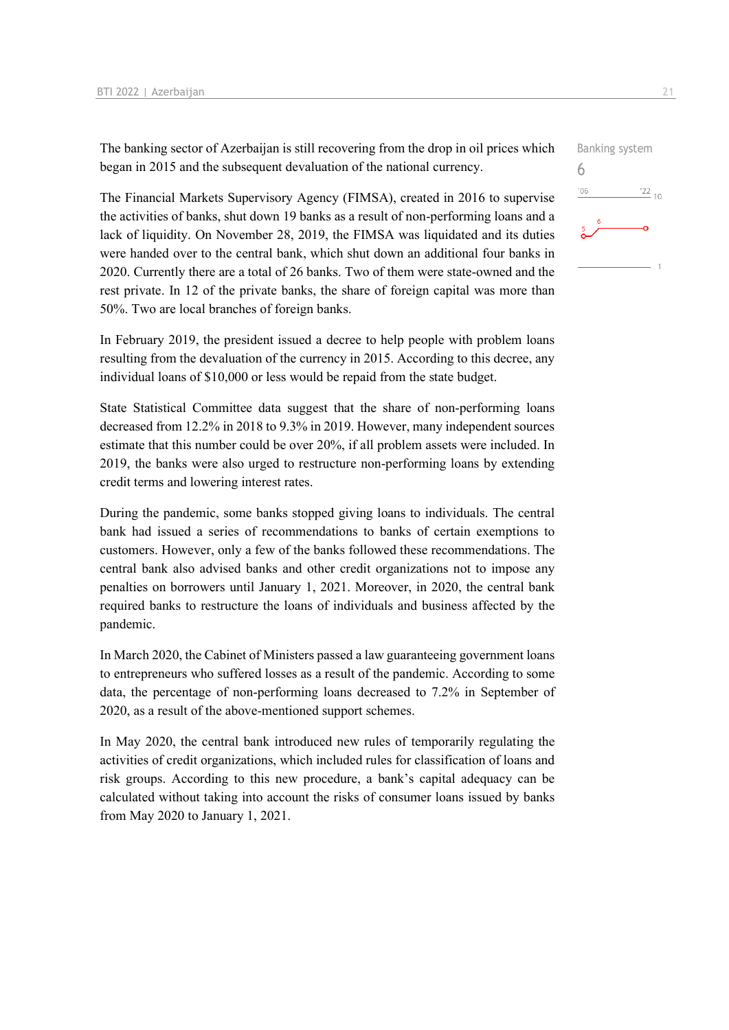The banking sector of Azerbaijan is still recovering from the drop in oil prices which began in 2015 and the subsequent devaluation of the national currency.

The Financial Markets Supervisory Agency (FIMSA), created in 2016 to supervise the activities of banks, shut down 19 banks as a result of non-performing loans and a lack of liquidity. On November 28, 2019, the FIMSA was liquidated and its duties were handed over to the central bank, which shut down an additional four banks in 2020. Currently there are a total of 26 banks. Two of them were state-owned and the rest private. In 12 of the private banks, the share of foreign capital was more than 50%. Two are local branches of foreign banks.

In February 2019, the president issued a decree to help people with problem loans resulting from the devaluation of the currency in 2015. According to this decree, any individual loans of \$10,000 or less would be repaid from the state budget.

State Statistical Committee data suggest that the share of non-performing loans decreased from 12.2% in 2018 to 9.3% in 2019. However, many independent sources estimate that this number could be over 20%, if all problem assets were included. In 2019, the banks were also urged to restructure non-performing loans by extending credit terms and lowering interest rates.

During the pandemic, some banks stopped giving loans to individuals. The central bank had issued a series of recommendations to banks of certain exemptions to customers. However, only a few of the banks followed these recommendations. The central bank also advised banks and other credit organizations not to impose any penalties on borrowers until January 1, 2021. Moreover, in 2020, the central bank required banks to restructure the loans of individuals and business affected by the pandemic.

In March 2020, the Cabinet of Ministers passed a law guaranteeing government loans to entrepreneurs who suffered losses as a result of the pandemic. According to some data, the percentage of non-performing loans decreased to 7.2% in September of 2020, as a result of the above-mentioned support schemes.

In May 2020, the central bank introduced new rules of temporarily regulating the activities of credit organizations, which included rules for classification of loans and risk groups. According to this new procedure, a bank's capital adequacy can be calculated without taking into account the risks of consumer loans issued by banks from May 2020 to January 1, 2021.

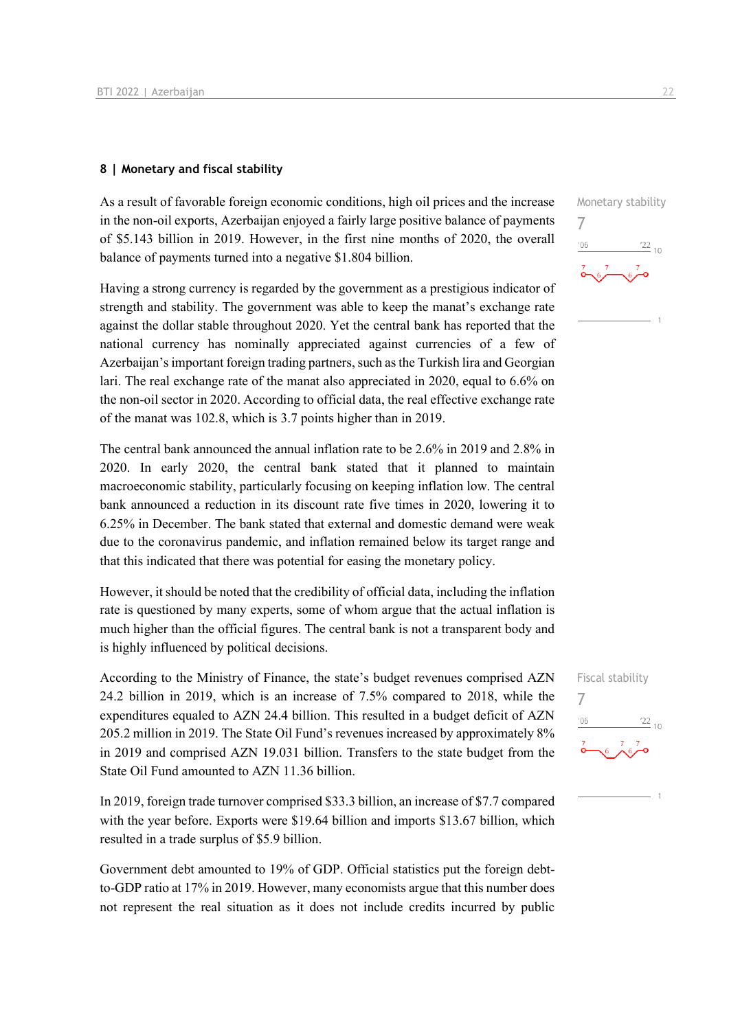#### **8 | Monetary and fiscal stability**

As a result of favorable foreign economic conditions, high oil prices and the increase in the non-oil exports, Azerbaijan enjoyed a fairly large positive balance of payments of \$5.143 billion in 2019. However, in the first nine months of 2020, the overall balance of payments turned into a negative \$1.804 billion.

Having a strong currency is regarded by the government as a prestigious indicator of strength and stability. The government was able to keep the manat's exchange rate against the dollar stable throughout 2020. Yet the central bank has reported that the national currency has nominally appreciated against currencies of a few of Azerbaijan's important foreign trading partners, such as the Turkish lira and Georgian lari. The real exchange rate of the manat also appreciated in 2020, equal to 6.6% on the non-oil sector in 2020. According to official data, the real effective exchange rate of the manat was 102.8, which is 3.7 points higher than in 2019.

The central bank announced the annual inflation rate to be 2.6% in 2019 and 2.8% in 2020. In early 2020, the central bank stated that it planned to maintain macroeconomic stability, particularly focusing on keeping inflation low. The central bank announced a reduction in its discount rate five times in 2020, lowering it to 6.25% in December. The bank stated that external and domestic demand were weak due to the coronavirus pandemic, and inflation remained below its target range and that this indicated that there was potential for easing the monetary policy.

However, it should be noted that the credibility of official data, including the inflation rate is questioned by many experts, some of whom argue that the actual inflation is much higher than the official figures. The central bank is not a transparent body and is highly influenced by political decisions.

According to the Ministry of Finance, the state's budget revenues comprised AZN 24.2 billion in 2019, which is an increase of 7.5% compared to 2018, while the expenditures equaled to AZN 24.4 billion. This resulted in a budget deficit of AZN 205.2 million in 2019. The State Oil Fund's revenues increased by approximately 8% in 2019 and comprised AZN 19.031 billion. Transfers to the state budget from the State Oil Fund amounted to AZN 11.36 billion.

In 2019, foreign trade turnover comprised \$33.3 billion, an increase of \$7.7 compared with the year before. Exports were \$19.64 billion and imports \$13.67 billion, which resulted in a trade surplus of \$5.9 billion.

Government debt amounted to 19% of GDP. Official statistics put the foreign debtto-GDP ratio at 17% in 2019. However, many economists argue that this number does not represent the real situation as it does not include credits incurred by public



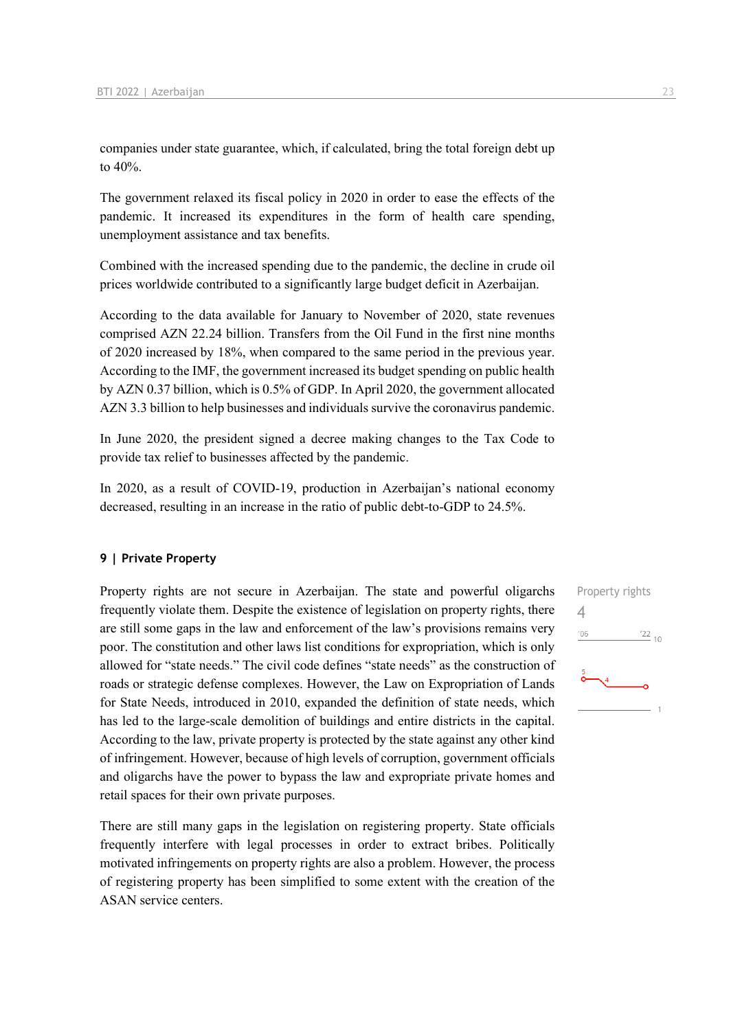companies under state guarantee, which, if calculated, bring the total foreign debt up to 40%.

The government relaxed its fiscal policy in 2020 in order to ease the effects of the pandemic. It increased its expenditures in the form of health care spending, unemployment assistance and tax benefits.

Combined with the increased spending due to the pandemic, the decline in crude oil prices worldwide contributed to a significantly large budget deficit in Azerbaijan.

According to the data available for January to November of 2020, state revenues comprised AZN 22.24 billion. Transfers from the Oil Fund in the first nine months of 2020 increased by 18%, when compared to the same period in the previous year. According to the IMF, the government increased its budget spending on public health by AZN 0.37 billion, which is 0.5% of GDP. In April 2020, the government allocated AZN 3.3 billion to help businesses and individuals survive the coronavirus pandemic.

In June 2020, the president signed a decree making changes to the Tax Code to provide tax relief to businesses affected by the pandemic.

In 2020, as a result of COVID-19, production in Azerbaijan's national economy decreased, resulting in an increase in the ratio of public debt-to-GDP to 24.5%.

#### **9 | Private Property**

Property rights are not secure in Azerbaijan. The state and powerful oligarchs frequently violate them. Despite the existence of legislation on property rights, there are still some gaps in the law and enforcement of the law's provisions remains very poor. The constitution and other laws list conditions for expropriation, which is only allowed for "state needs." The civil code defines "state needs" as the construction of roads or strategic defense complexes. However, the Law on Expropriation of Lands for State Needs, introduced in 2010, expanded the definition of state needs, which has led to the large-scale demolition of buildings and entire districts in the capital. According to the law, private property is protected by the state against any other kind of infringement. However, because of high levels of corruption, government officials and oligarchs have the power to bypass the law and expropriate private homes and retail spaces for their own private purposes.

There are still many gaps in the legislation on registering property. State officials frequently interfere with legal processes in order to extract bribes. Politically motivated infringements on property rights are also a problem. However, the process of registering property has been simplified to some extent with the creation of the ASAN service centers.

Property rights 4 $'06$  $\frac{22}{10}$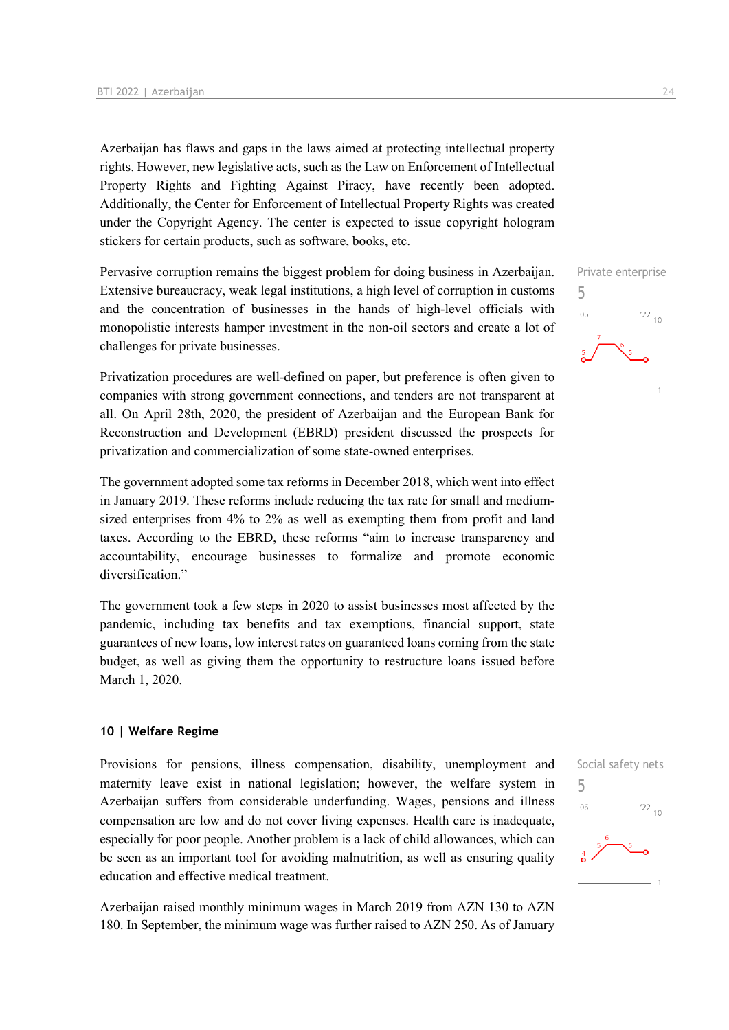Azerbaijan has flaws and gaps in the laws aimed at protecting intellectual property rights. However, new legislative acts, such as the Law on Enforcement of Intellectual Property Rights and Fighting Against Piracy, have recently been adopted. Additionally, the Center for Enforcement of Intellectual Property Rights was created under the Copyright Agency. The center is expected to issue copyright hologram stickers for certain products, such as software, books, etc.

Pervasive corruption remains the biggest problem for doing business in Azerbaijan. Extensive bureaucracy, weak legal institutions, a high level of corruption in customs and the concentration of businesses in the hands of high-level officials with monopolistic interests hamper investment in the non-oil sectors and create a lot of challenges for private businesses.

Privatization procedures are well-defined on paper, but preference is often given to companies with strong government connections, and tenders are not transparent at all. On April 28th, 2020, the president of Azerbaijan and the European Bank for Reconstruction and Development (EBRD) president discussed the prospects for privatization and commercialization of some state-owned enterprises.

The government adopted some tax reforms in December 2018, which went into effect in January 2019. These reforms include reducing the tax rate for small and mediumsized enterprises from 4% to 2% as well as exempting them from profit and land taxes. According to the EBRD, these reforms "aim to increase transparency and accountability, encourage businesses to formalize and promote economic diversification."

The government took a few steps in 2020 to assist businesses most affected by the pandemic, including tax benefits and tax exemptions, financial support, state guarantees of new loans, low interest rates on guaranteed loans coming from the state budget, as well as giving them the opportunity to restructure loans issued before March 1, 2020.

#### **10 | Welfare Regime**

Provisions for pensions, illness compensation, disability, unemployment and maternity leave exist in national legislation; however, the welfare system in Azerbaijan suffers from considerable underfunding. Wages, pensions and illness compensation are low and do not cover living expenses. Health care is inadequate, especially for poor people. Another problem is a lack of child allowances, which can be seen as an important tool for avoiding malnutrition, as well as ensuring quality education and effective medical treatment.

Azerbaijan raised monthly minimum wages in March 2019 from AZN 130 to AZN 180. In September, the minimum wage was further raised to AZN 250. As of January



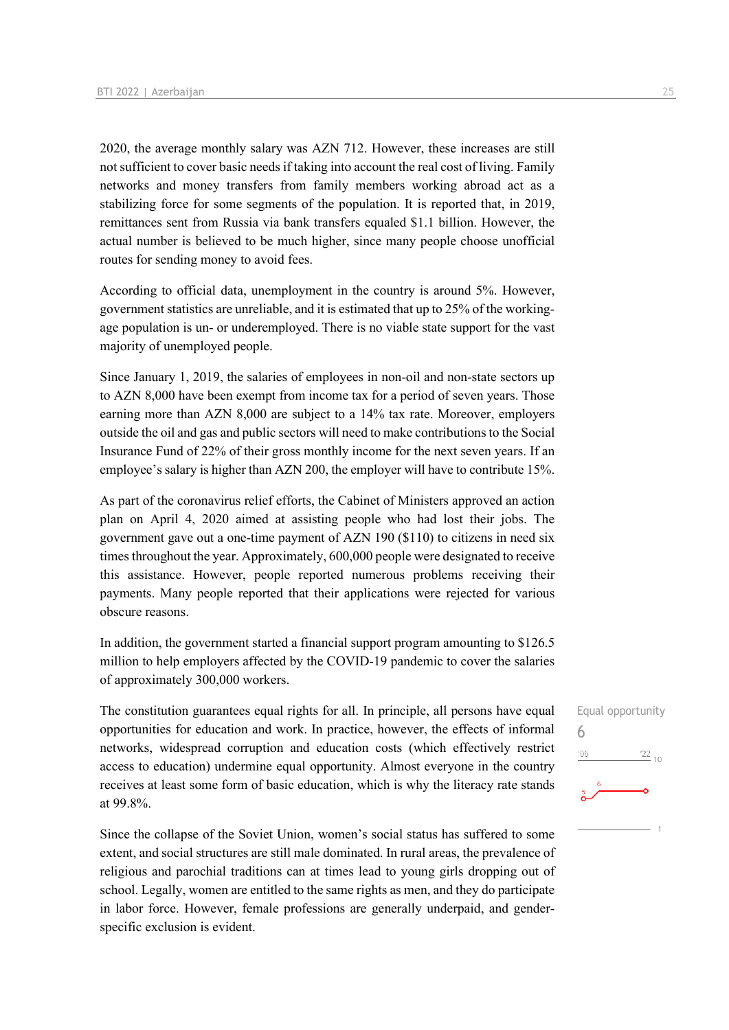2020, the average monthly salary was AZN 712. However, these increases are still not sufficient to cover basic needs if taking into account the real cost of living. Family networks and money transfers from family members working abroad act as a stabilizing force for some segments of the population. It is reported that, in 2019, remittances sent from Russia via bank transfers equaled \$1.1 billion. However, the actual number is believed to be much higher, since many people choose unofficial routes for sending money to avoid fees.

According to official data, unemployment in the country is around 5%. However, government statistics are unreliable, and it is estimated that up to 25% of the workingage population is un- or underemployed. There is no viable state support for the vast majority of unemployed people.

Since January 1, 2019, the salaries of employees in non-oil and non-state sectors up to AZN 8,000 have been exempt from income tax for a period of seven years. Those earning more than AZN 8,000 are subject to a 14% tax rate. Moreover, employers outside the oil and gas and public sectors will need to make contributions to the Social Insurance Fund of 22% of their gross monthly income for the next seven years. If an employee's salary is higher than AZN 200, the employer will have to contribute 15%.

As part of the coronavirus relief efforts, the Cabinet of Ministers approved an action plan on April 4, 2020 aimed at assisting people who had lost their jobs. The government gave out a one-time payment of AZN 190 (\$110) to citizens in need six times throughout the year. Approximately, 600,000 people were designated to receive this assistance. However, people reported numerous problems receiving their payments. Many people reported that their applications were rejected for various obscure reasons.

In addition, the government started a financial support program amounting to \$126.5 million to help employers affected by the COVID-19 pandemic to cover the salaries of approximately 300,000 workers.

The constitution guarantees equal rights for all. In principle, all persons have equal opportunities for education and work. In practice, however, the effects of informal networks, widespread corruption and education costs (which effectively restrict access to education) undermine equal opportunity. Almost everyone in the country receives at least some form of basic education, which is why the literacy rate stands at 99.8%.

Since the collapse of the Soviet Union, women's social status has suffered to some extent, and social structures are still male dominated. In rural areas, the prevalence of religious and parochial traditions can at times lead to young girls dropping out of school. Legally, women are entitled to the same rights as men, and they do participate in labor force. However, female professions are generally underpaid, and genderspecific exclusion is evident.

6

 $06'$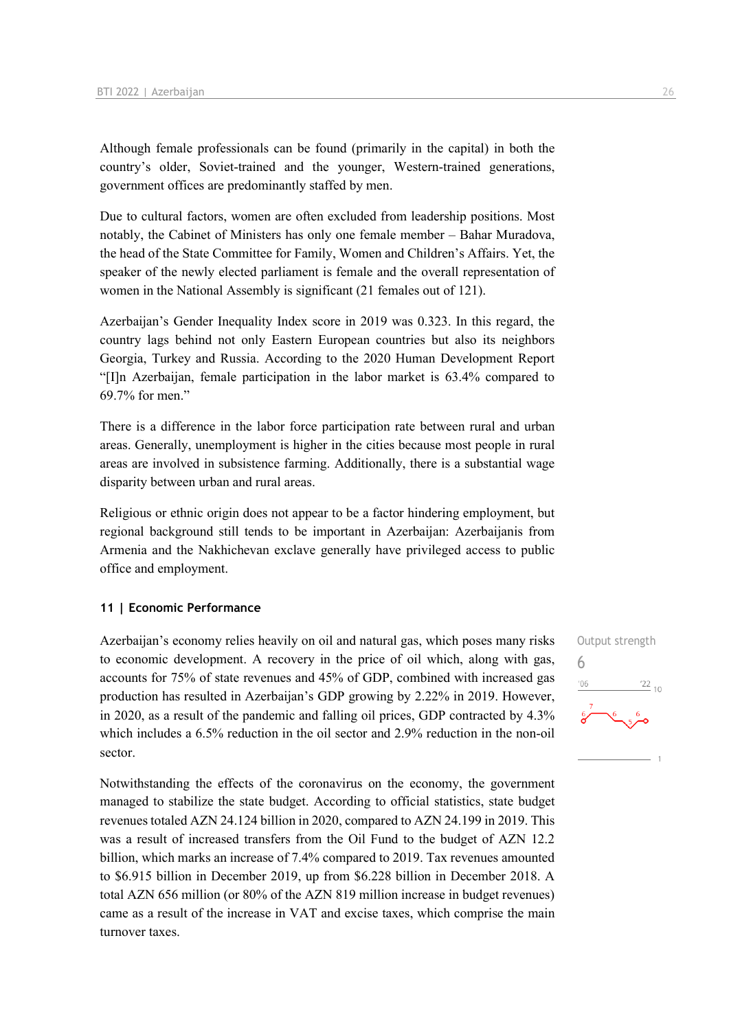Although female professionals can be found (primarily in the capital) in both the country's older, Soviet-trained and the younger, Western-trained generations, government offices are predominantly staffed by men.

Due to cultural factors, women are often excluded from leadership positions. Most notably, the Cabinet of Ministers has only one female member – Bahar Muradova, the head of the State Committee for Family, Women and Children's Affairs. Yet, the speaker of the newly elected parliament is female and the overall representation of women in the National Assembly is significant (21 females out of 121).

Azerbaijan's Gender Inequality Index score in 2019 was 0.323. In this regard, the country lags behind not only Eastern European countries but also its neighbors Georgia, Turkey and Russia. According to the 2020 Human Development Report "[I]n Azerbaijan, female participation in the labor market is 63.4% compared to 69.7% for men."

There is a difference in the labor force participation rate between rural and urban areas. Generally, unemployment is higher in the cities because most people in rural areas are involved in subsistence farming. Additionally, there is a substantial wage disparity between urban and rural areas.

Religious or ethnic origin does not appear to be a factor hindering employment, but regional background still tends to be important in Azerbaijan: Azerbaijanis from Armenia and the Nakhichevan exclave generally have privileged access to public office and employment.

#### **11 | Economic Performance**

Azerbaijan's economy relies heavily on oil and natural gas, which poses many risks to economic development. A recovery in the price of oil which, along with gas, accounts for 75% of state revenues and 45% of GDP, combined with increased gas production has resulted in Azerbaijan's GDP growing by 2.22% in 2019. However, in 2020, as a result of the pandemic and falling oil prices, GDP contracted by 4.3% which includes a 6.5% reduction in the oil sector and 2.9% reduction in the non-oil sector.

Notwithstanding the effects of the coronavirus on the economy, the government managed to stabilize the state budget. According to official statistics, state budget revenues totaled AZN 24.124 billion in 2020, compared to AZN 24.199 in 2019. This was a result of increased transfers from the Oil Fund to the budget of AZN 12.2 billion, which marks an increase of 7.4% compared to 2019. Tax revenues amounted to \$6.915 billion in December 2019, up from \$6.228 billion in December 2018. A total AZN 656 million (or 80% of the AZN 819 million increase in budget revenues) came as a result of the increase in VAT and excise taxes, which comprise the main turnover taxes.

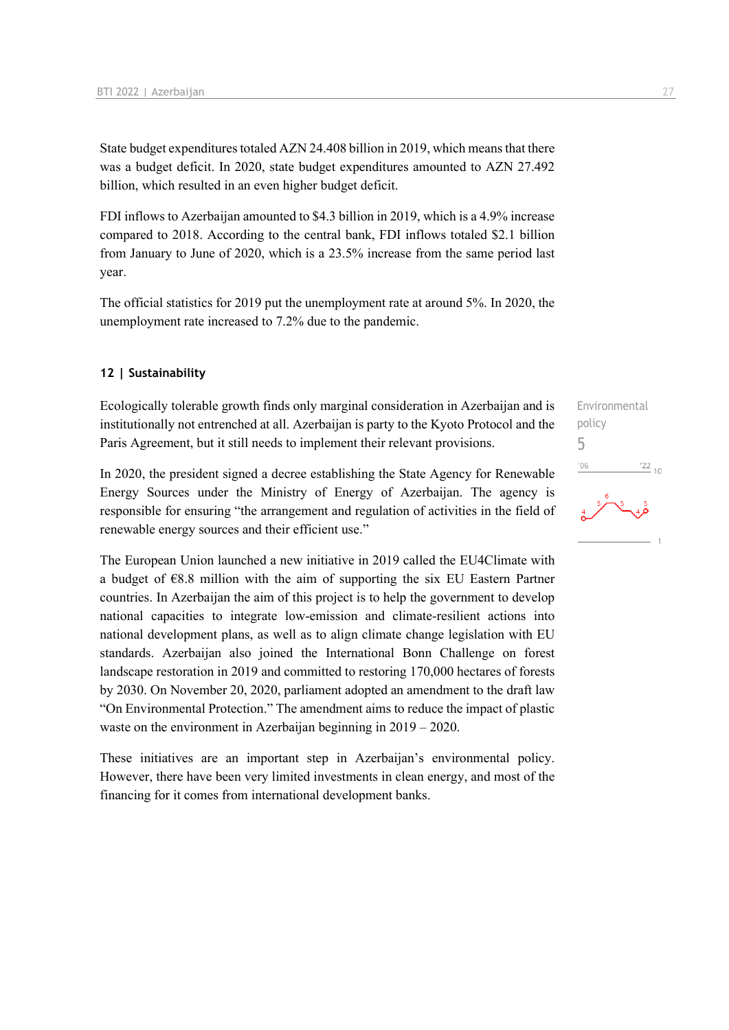State budget expenditures totaled AZN 24.408 billion in 2019, which means that there was a budget deficit. In 2020, state budget expenditures amounted to AZN 27.492 billion, which resulted in an even higher budget deficit.

FDI inflows to Azerbaijan amounted to \$4.3 billion in 2019, which is a 4.9% increase compared to 2018. According to the central bank, FDI inflows totaled \$2.1 billion from January to June of 2020, which is a 23.5% increase from the same period last year.

The official statistics for 2019 put the unemployment rate at around 5%. In 2020, the unemployment rate increased to 7.2% due to the pandemic.

#### **12 | Sustainability**

Ecologically tolerable growth finds only marginal consideration in Azerbaijan and is institutionally not entrenched at all. Azerbaijan is party to the Kyoto Protocol and the Paris Agreement, but it still needs to implement their relevant provisions.

In 2020, the president signed a decree establishing the State Agency for Renewable Energy Sources under the Ministry of Energy of Azerbaijan. The agency is responsible for ensuring "the arrangement and regulation of activities in the field of renewable energy sources and their efficient use."

The European Union launched a new initiative in 2019 called the EU4Climate with a budget of €8.8 million with the aim of supporting the six EU Eastern Partner countries. In Azerbaijan the aim of this project is to help the government to develop national capacities to integrate low-emission and climate-resilient actions into national development plans, as well as to align climate change legislation with EU standards. Azerbaijan also joined the International Bonn Challenge on forest landscape restoration in 2019 and committed to restoring 170,000 hectares of forests by 2030. On November 20, 2020, parliament adopted an amendment to the draft law "On Environmental Protection." The amendment aims to reduce the impact of plastic waste on the environment in Azerbaijan beginning in 2019 – 2020.

These initiatives are an important step in Azerbaijan's environmental policy. However, there have been very limited investments in clean energy, and most of the financing for it comes from international development banks.

Environmental policy 5 $^{22}$  10  $^{\prime}06$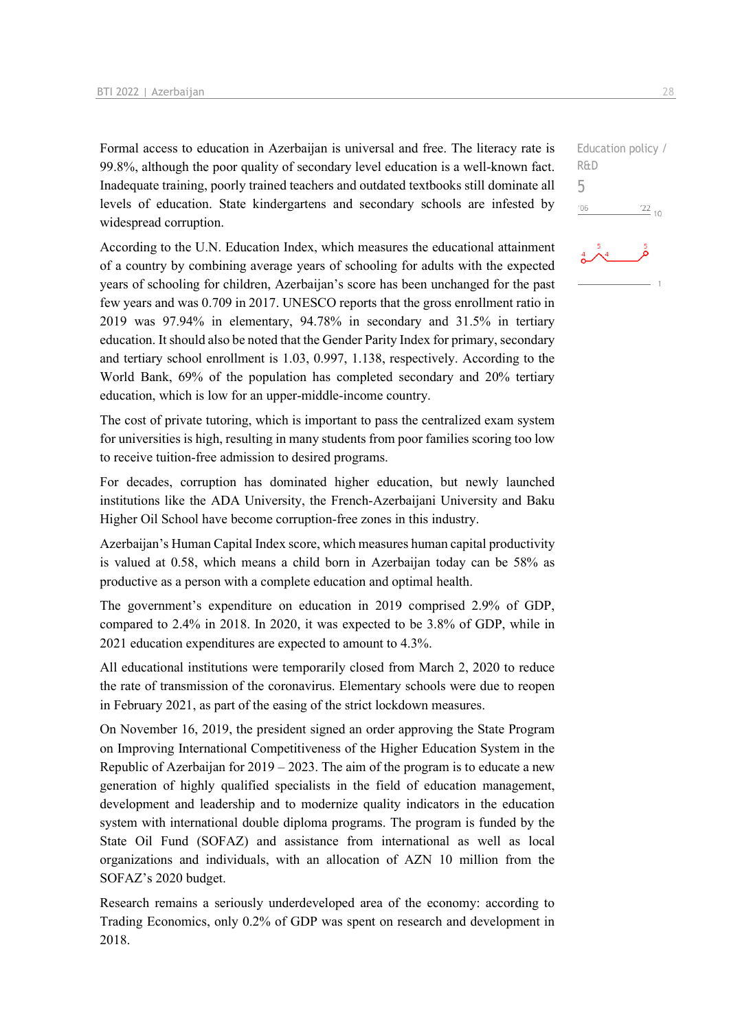Formal access to education in Azerbaijan is universal and free. The literacy rate is 99.8%, although the poor quality of secondary level education is a well-known fact. Inadequate training, poorly trained teachers and outdated textbooks still dominate all levels of education. State kindergartens and secondary schools are infested by widespread corruption.

According to the U.N. Education Index, which measures the educational attainment of a country by combining average years of schooling for adults with the expected years of schooling for children, Azerbaijan's score has been unchanged for the past few years and was 0.709 in 2017. UNESCO reports that the gross enrollment ratio in 2019 was 97.94% in elementary, 94.78% in secondary and 31.5% in tertiary education. It should also be noted that the Gender Parity Index for primary, secondary and tertiary school enrollment is 1.03, 0.997, 1.138, respectively. According to the World Bank, 69% of the population has completed secondary and 20% tertiary education, which is low for an upper-middle-income country.

The cost of private tutoring, which is important to pass the centralized exam system for universities is high, resulting in many students from poor families scoring too low to receive tuition-free admission to desired programs.

For decades, corruption has dominated higher education, but newly launched institutions like the ADA University, the French-Azerbaijani University and Baku Higher Oil School have become corruption-free zones in this industry.

Azerbaijan's Human Capital Index score, which measures human capital productivity is valued at 0.58, which means a child born in Azerbaijan today can be 58% as productive as a person with a complete education and optimal health.

The government's expenditure on education in 2019 comprised 2.9% of GDP, compared to 2.4% in 2018. In 2020, it was expected to be 3.8% of GDP, while in 2021 education expenditures are expected to amount to 4.3%.

All educational institutions were temporarily closed from March 2, 2020 to reduce the rate of transmission of the coronavirus. Elementary schools were due to reopen in February 2021, as part of the easing of the strict lockdown measures.

On November 16, 2019, the president signed an order approving the State Program on Improving International Competitiveness of the Higher Education System in the Republic of Azerbaijan for  $2019 - 2023$ . The aim of the program is to educate a new generation of highly qualified specialists in the field of education management, development and leadership and to modernize quality indicators in the education system with international double diploma programs. The program is funded by the State Oil Fund (SOFAZ) and assistance from international as well as local organizations and individuals, with an allocation of AZN 10 million from the SOFAZ's 2020 budget.

Research remains a seriously underdeveloped area of the economy: according to Trading Economics, only 0.2% of GDP was spent on research and development in 2018.

Education policy / R&D 5 $'06$  $^{22}$  10

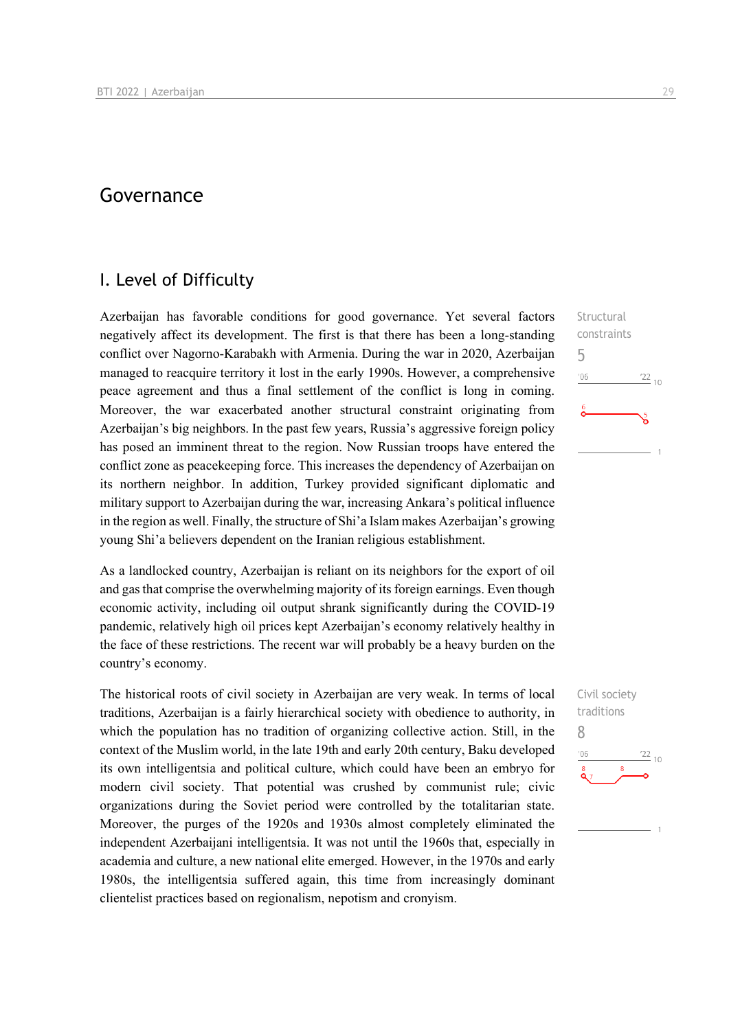## Governance

## I. Level of Difficulty

Azerbaijan has favorable conditions for good governance. Yet several factors negatively affect its development. The first is that there has been a long-standing conflict over Nagorno-Karabakh with Armenia. During the war in 2020, Azerbaijan managed to reacquire territory it lost in the early 1990s. However, a comprehensive peace agreement and thus a final settlement of the conflict is long in coming. Moreover, the war exacerbated another structural constraint originating from Azerbaijan's big neighbors. In the past few years, Russia's aggressive foreign policy has posed an imminent threat to the region. Now Russian troops have entered the conflict zone as peacekeeping force. This increases the dependency of Azerbaijan on its northern neighbor. In addition, Turkey provided significant diplomatic and military support to Azerbaijan during the war, increasing Ankara's political influence in the region as well. Finally, the structure of Shi'a Islam makes Azerbaijan's growing young Shi'a believers dependent on the Iranian religious establishment.

As a landlocked country, Azerbaijan is reliant on its neighbors for the export of oil and gas that comprise the overwhelming majority of its foreign earnings. Even though economic activity, including oil output shrank significantly during the COVID-19 pandemic, relatively high oil prices kept Azerbaijan's economy relatively healthy in the face of these restrictions. The recent war will probably be a heavy burden on the country's economy.

The historical roots of civil society in Azerbaijan are very weak. In terms of local traditions, Azerbaijan is a fairly hierarchical society with obedience to authority, in which the population has no tradition of organizing collective action. Still, in the context of the Muslim world, in the late 19th and early 20th century, Baku developed its own intelligentsia and political culture, which could have been an embryo for modern civil society. That potential was crushed by communist rule; civic organizations during the Soviet period were controlled by the totalitarian state. Moreover, the purges of the 1920s and 1930s almost completely eliminated the independent Azerbaijani intelligentsia. It was not until the 1960s that, especially in academia and culture, a new national elite emerged. However, in the 1970s and early 1980s, the intelligentsia suffered again, this time from increasingly dominant clientelist practices based on regionalism, nepotism and cronyism.

**Structural** constraints 5  $n<sub>6</sub>$  $\frac{22}{10}$ 

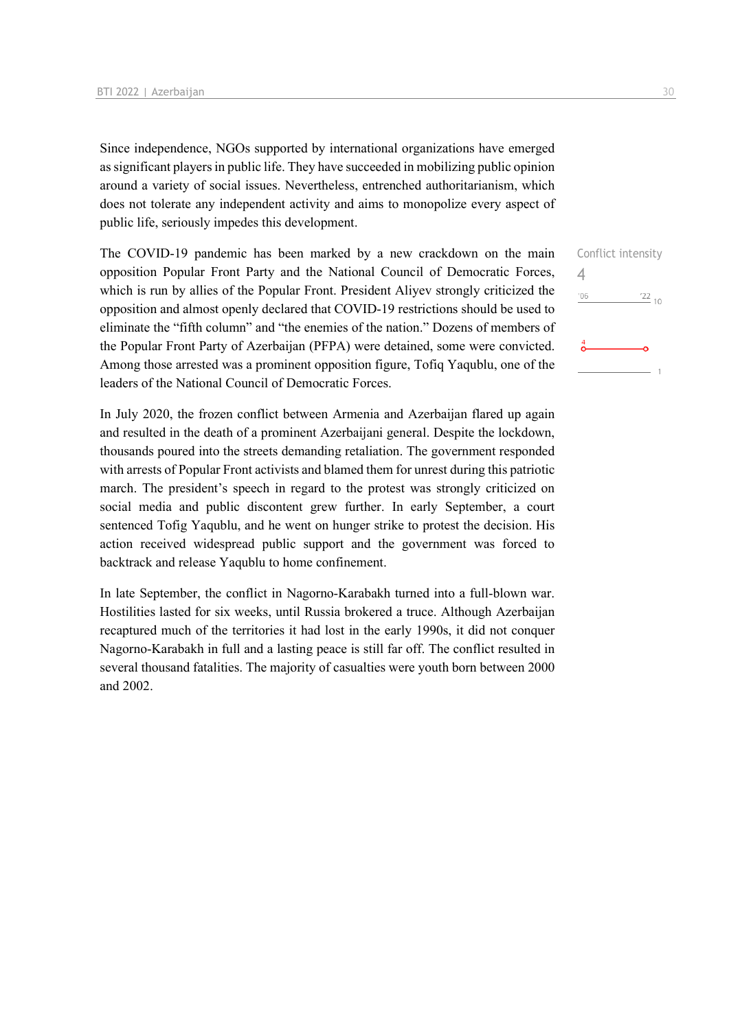Since independence, NGOs supported by international organizations have emerged as significant players in public life. They have succeeded in mobilizing public opinion around a variety of social issues. Nevertheless, entrenched authoritarianism, which does not tolerate any independent activity and aims to monopolize every aspect of public life, seriously impedes this development.

The COVID-19 pandemic has been marked by a new crackdown on the main opposition Popular Front Party and the National Council of Democratic Forces, which is run by allies of the Popular Front. President Aliyev strongly criticized the opposition and almost openly declared that COVID-19 restrictions should be used to eliminate the "fifth column" and "the enemies of the nation." Dozens of members of the Popular Front Party of Azerbaijan (PFPA) were detained, some were convicted. Among those arrested was a prominent opposition figure, Tofiq Yaqublu, one of the leaders of the National Council of Democratic Forces.

In July 2020, the frozen conflict between Armenia and Azerbaijan flared up again and resulted in the death of a prominent Azerbaijani general. Despite the lockdown, thousands poured into the streets demanding retaliation. The government responded with arrests of Popular Front activists and blamed them for unrest during this patriotic march. The president's speech in regard to the protest was strongly criticized on social media and public discontent grew further. In early September, a court sentenced Tofig Yaqublu, and he went on hunger strike to protest the decision. His action received widespread public support and the government was forced to backtrack and release Yaqublu to home confinement.

In late September, the conflict in Nagorno-Karabakh turned into a full-blown war. Hostilities lasted for six weeks, until Russia brokered a truce. Although Azerbaijan recaptured much of the territories it had lost in the early 1990s, it did not conquer Nagorno-Karabakh in full and a lasting peace is still far off. The conflict resulted in several thousand fatalities. The majority of casualties were youth born between 2000 and 2002.

| Conflict intensity |                 |
|--------------------|-----------------|
| 4                  |                 |
| '06                | $\frac{22}{10}$ |
|                    |                 |
| 4                  |                 |
|                    |                 |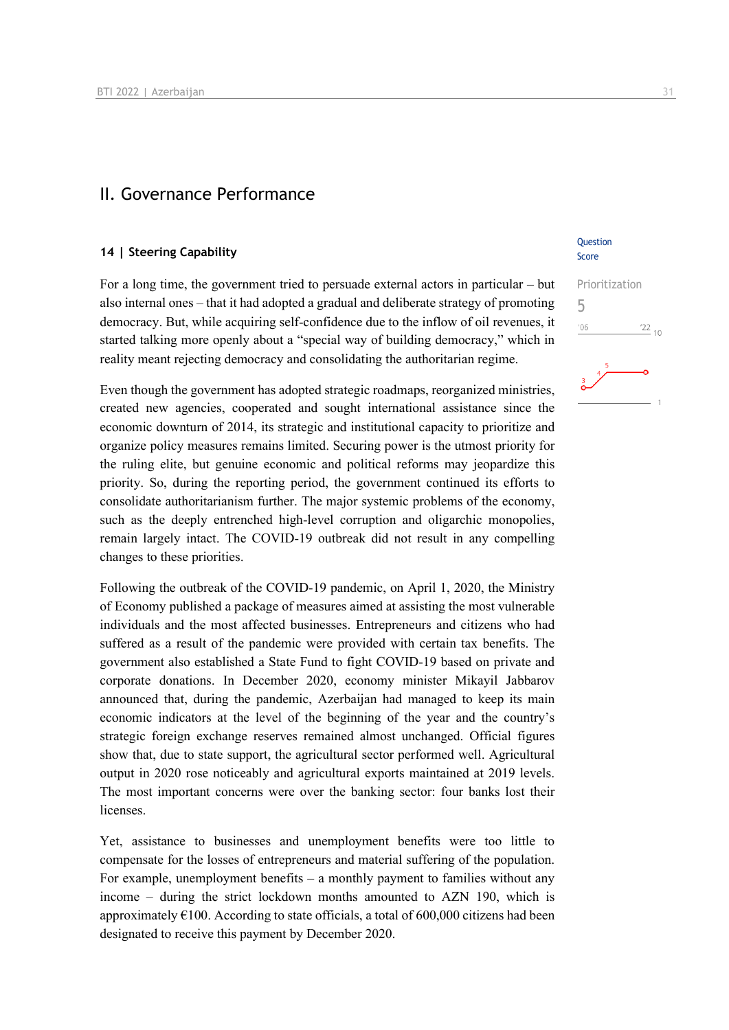### II. Governance Performance

#### **14 | Steering Capability**

For a long time, the government tried to persuade external actors in particular – but also internal ones – that it had adopted a gradual and deliberate strategy of promoting democracy. But, while acquiring self-confidence due to the inflow of oil revenues, it started talking more openly about a "special way of building democracy," which in reality meant rejecting democracy and consolidating the authoritarian regime.

Even though the government has adopted strategic roadmaps, reorganized ministries, created new agencies, cooperated and sought international assistance since the economic downturn of 2014, its strategic and institutional capacity to prioritize and organize policy measures remains limited. Securing power is the utmost priority for the ruling elite, but genuine economic and political reforms may jeopardize this priority. So, during the reporting period, the government continued its efforts to consolidate authoritarianism further. The major systemic problems of the economy, such as the deeply entrenched high-level corruption and oligarchic monopolies, remain largely intact. The COVID-19 outbreak did not result in any compelling changes to these priorities.

Following the outbreak of the COVID-19 pandemic, on April 1, 2020, the Ministry of Economy published a package of measures aimed at assisting the most vulnerable individuals and the most affected businesses. Entrepreneurs and citizens who had suffered as a result of the pandemic were provided with certain tax benefits. The government also established a State Fund to fight COVID-19 based on private and corporate donations. In December 2020, economy minister Mikayil Jabbarov announced that, during the pandemic, Azerbaijan had managed to keep its main economic indicators at the level of the beginning of the year and the country's strategic foreign exchange reserves remained almost unchanged. Official figures show that, due to state support, the agricultural sector performed well. Agricultural output in 2020 rose noticeably and agricultural exports maintained at 2019 levels. The most important concerns were over the banking sector: four banks lost their licenses.

Yet, assistance to businesses and unemployment benefits were too little to compensate for the losses of entrepreneurs and material suffering of the population. For example, unemployment benefits – a monthly payment to families without any income – during the strict lockdown months amounted to AZN 190, which is approximately  $\epsilon$ 100. According to state officials, a total of 600,000 citizens had been designated to receive this payment by December 2020.

**Ouestion** Score

5

 $-06$ 

Prioritization

 $\frac{22}{10}$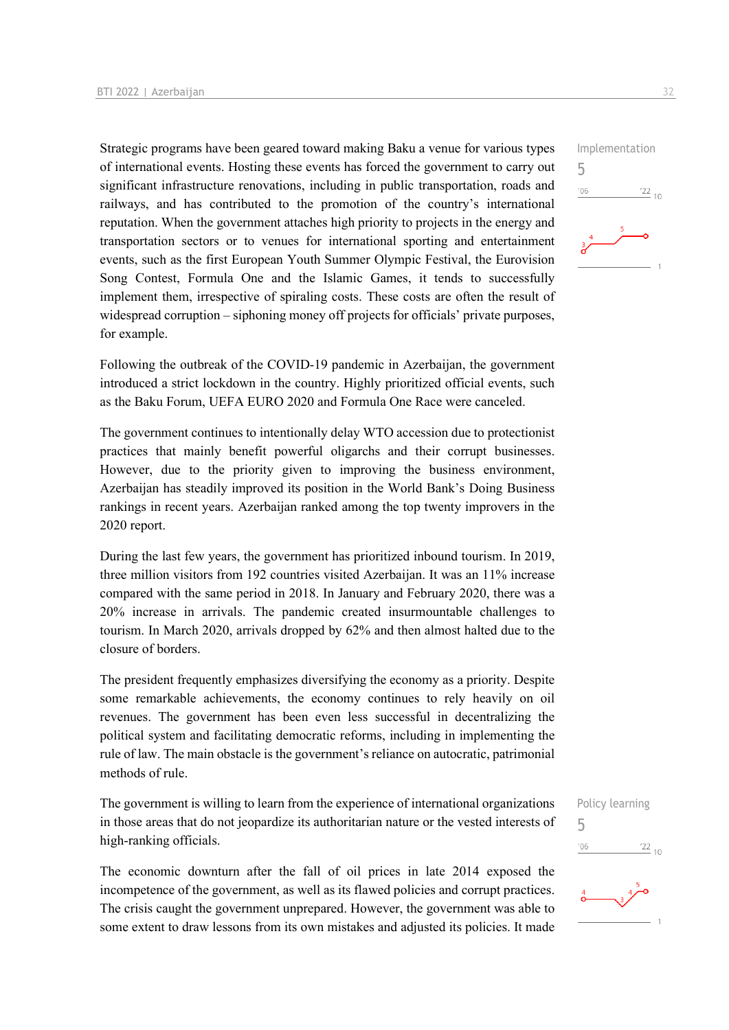Strategic programs have been geared toward making Baku a venue for various types of international events. Hosting these events has forced the government to carry out significant infrastructure renovations, including in public transportation, roads and railways, and has contributed to the promotion of the country's international reputation. When the government attaches high priority to projects in the energy and transportation sectors or to venues for international sporting and entertainment events, such as the first European Youth Summer Olympic Festival, the Eurovision Song Contest, Formula One and the Islamic Games, it tends to successfully implement them, irrespective of spiraling costs. These costs are often the result of widespread corruption – siphoning money off projects for officials' private purposes, for example.

Following the outbreak of the COVID-19 pandemic in Azerbaijan, the government introduced a strict lockdown in the country. Highly prioritized official events, such as the Baku Forum, UEFA EURO 2020 and Formula One Race were canceled.

The government continues to intentionally delay WTO accession due to protectionist practices that mainly benefit powerful oligarchs and their corrupt businesses. However, due to the priority given to improving the business environment, Azerbaijan has steadily improved its position in the World Bank's Doing Business rankings in recent years. Azerbaijan ranked among the top twenty improvers in the 2020 report.

During the last few years, the government has prioritized inbound tourism. In 2019, three million visitors from 192 countries visited Azerbaijan. It was an 11% increase compared with the same period in 2018. In January and February 2020, there was a 20% increase in arrivals. The pandemic created insurmountable challenges to tourism. In March 2020, arrivals dropped by 62% and then almost halted due to the closure of borders.

The president frequently emphasizes diversifying the economy as a priority. Despite some remarkable achievements, the economy continues to rely heavily on oil revenues. The government has been even less successful in decentralizing the political system and facilitating democratic reforms, including in implementing the rule of law. The main obstacle is the government's reliance on autocratic, patrimonial methods of rule.

The government is willing to learn from the experience of international organizations in those areas that do not jeopardize its authoritarian nature or the vested interests of high-ranking officials.

The economic downturn after the fall of oil prices in late 2014 exposed the incompetence of the government, as well as its flawed policies and corrupt practices. The crisis caught the government unprepared. However, the government was able to some extent to draw lessons from its own mistakes and adjusted its policies. It made

Policy learning 5 $-10<sup>1</sup>$  $\frac{22}{10}$ 



Implementation 5  $^{\prime}06$  $\frac{22}{10}$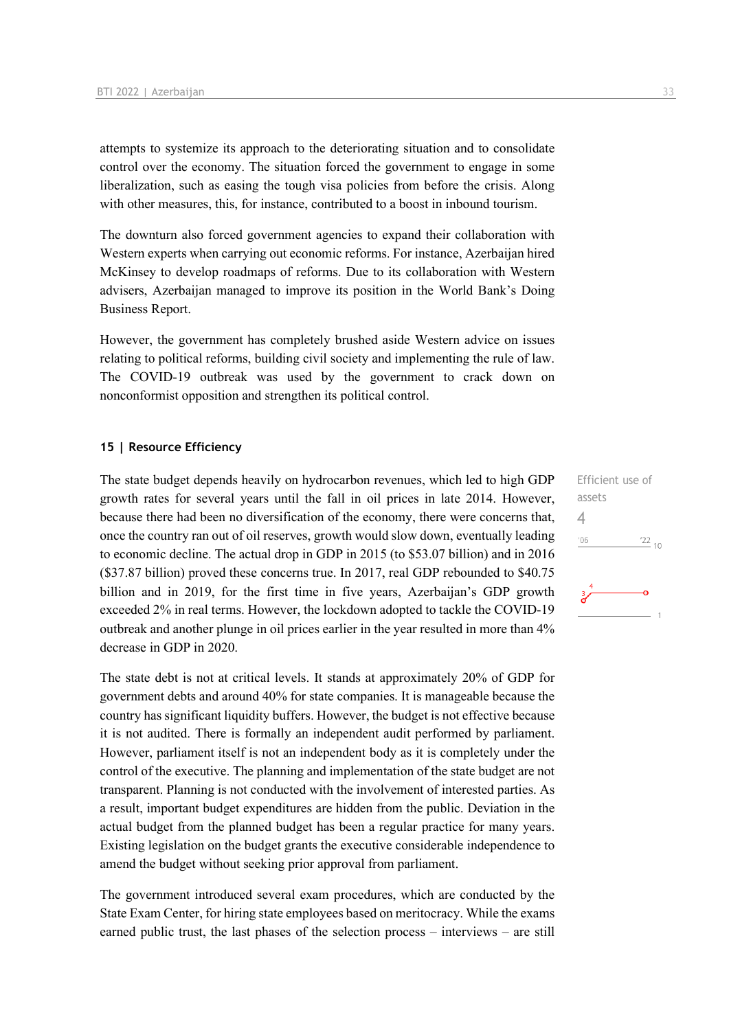attempts to systemize its approach to the deteriorating situation and to consolidate control over the economy. The situation forced the government to engage in some liberalization, such as easing the tough visa policies from before the crisis. Along with other measures, this, for instance, contributed to a boost in inbound tourism.

The downturn also forced government agencies to expand their collaboration with Western experts when carrying out economic reforms. For instance, Azerbaijan hired McKinsey to develop roadmaps of reforms. Due to its collaboration with Western advisers, Azerbaijan managed to improve its position in the World Bank's Doing Business Report.

However, the government has completely brushed aside Western advice on issues relating to political reforms, building civil society and implementing the rule of law. The COVID-19 outbreak was used by the government to crack down on nonconformist opposition and strengthen its political control.

#### **15 | Resource Efficiency**

The state budget depends heavily on hydrocarbon revenues, which led to high GDP growth rates for several years until the fall in oil prices in late 2014. However, because there had been no diversification of the economy, there were concerns that, once the country ran out of oil reserves, growth would slow down, eventually leading to economic decline. The actual drop in GDP in 2015 (to \$53.07 billion) and in 2016 (\$37.87 billion) proved these concerns true. In 2017, real GDP rebounded to \$40.75 billion and in 2019, for the first time in five years, Azerbaijan's GDP growth exceeded 2% in real terms. However, the lockdown adopted to tackle the COVID-19 outbreak and another plunge in oil prices earlier in the year resulted in more than 4% decrease in GDP in 2020.

The state debt is not at critical levels. It stands at approximately 20% of GDP for government debts and around 40% for state companies. It is manageable because the country has significant liquidity buffers. However, the budget is not effective because it is not audited. There is formally an independent audit performed by parliament. However, parliament itself is not an independent body as it is completely under the control of the executive. The planning and implementation of the state budget are not transparent. Planning is not conducted with the involvement of interested parties. As a result, important budget expenditures are hidden from the public. Deviation in the actual budget from the planned budget has been a regular practice for many years. Existing legislation on the budget grants the executive considerable independence to amend the budget without seeking prior approval from parliament.

The government introduced several exam procedures, which are conducted by the State Exam Center, for hiring state employees based on meritocracy. While the exams earned public trust, the last phases of the selection process – interviews – are still Efficient use of assets 4 $\frac{22}{10}$  $106$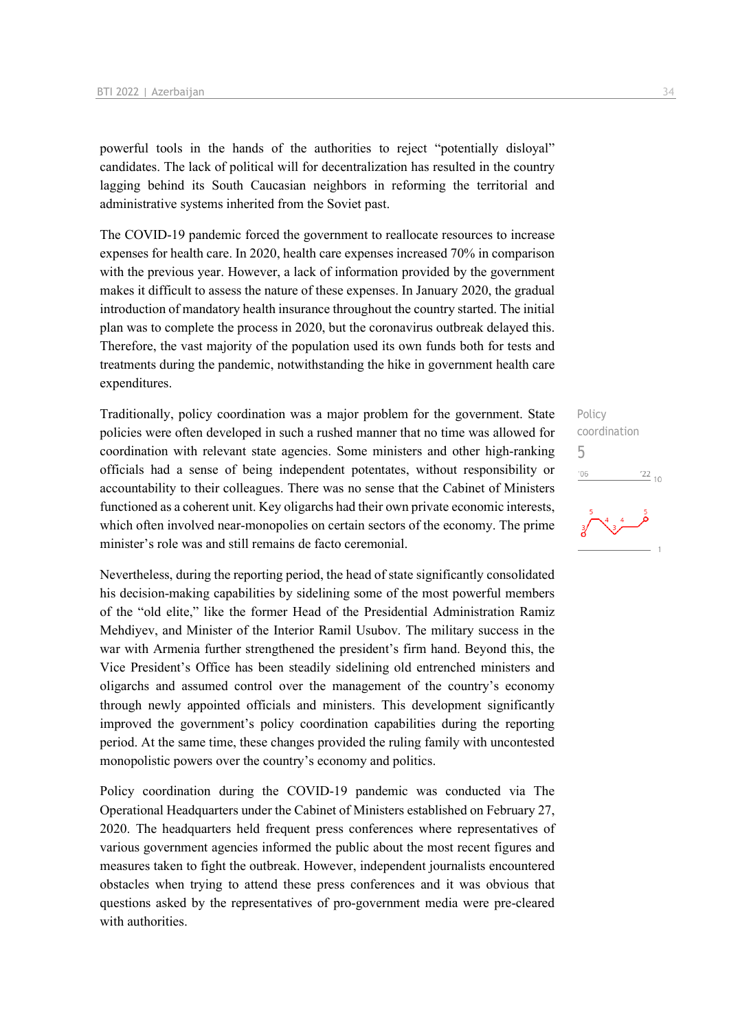powerful tools in the hands of the authorities to reject "potentially disloyal" candidates. The lack of political will for decentralization has resulted in the country lagging behind its South Caucasian neighbors in reforming the territorial and administrative systems inherited from the Soviet past.

The COVID-19 pandemic forced the government to reallocate resources to increase expenses for health care. In 2020, health care expenses increased 70% in comparison with the previous year. However, a lack of information provided by the government makes it difficult to assess the nature of these expenses. In January 2020, the gradual introduction of mandatory health insurance throughout the country started. The initial plan was to complete the process in 2020, but the coronavirus outbreak delayed this. Therefore, the vast majority of the population used its own funds both for tests and treatments during the pandemic, notwithstanding the hike in government health care expenditures.

Traditionally, policy coordination was a major problem for the government. State policies were often developed in such a rushed manner that no time was allowed for coordination with relevant state agencies. Some ministers and other high-ranking officials had a sense of being independent potentates, without responsibility or accountability to their colleagues. There was no sense that the Cabinet of Ministers functioned as a coherent unit. Key oligarchs had their own private economic interests, which often involved near-monopolies on certain sectors of the economy. The prime minister's role was and still remains de facto ceremonial.

Nevertheless, during the reporting period, the head of state significantly consolidated his decision-making capabilities by sidelining some of the most powerful members of the "old elite," like the former Head of the Presidential Administration Ramiz Mehdiyev, and Minister of the Interior Ramil Usubov. The military success in the war with Armenia further strengthened the president's firm hand. Beyond this, the Vice President's Office has been steadily sidelining old entrenched ministers and oligarchs and assumed control over the management of the country's economy through newly appointed officials and ministers. This development significantly improved the government's policy coordination capabilities during the reporting period. At the same time, these changes provided the ruling family with uncontested monopolistic powers over the country's economy and politics.

Policy coordination during the COVID-19 pandemic was conducted via The Operational Headquarters under the Cabinet of Ministers established on February 27, 2020. The headquarters held frequent press conferences where representatives of various government agencies informed the public about the most recent figures and measures taken to fight the outbreak. However, independent journalists encountered obstacles when trying to attend these press conferences and it was obvious that questions asked by the representatives of pro-government media were pre-cleared with authorities.

## Policy coordination 5 $\frac{22}{10}$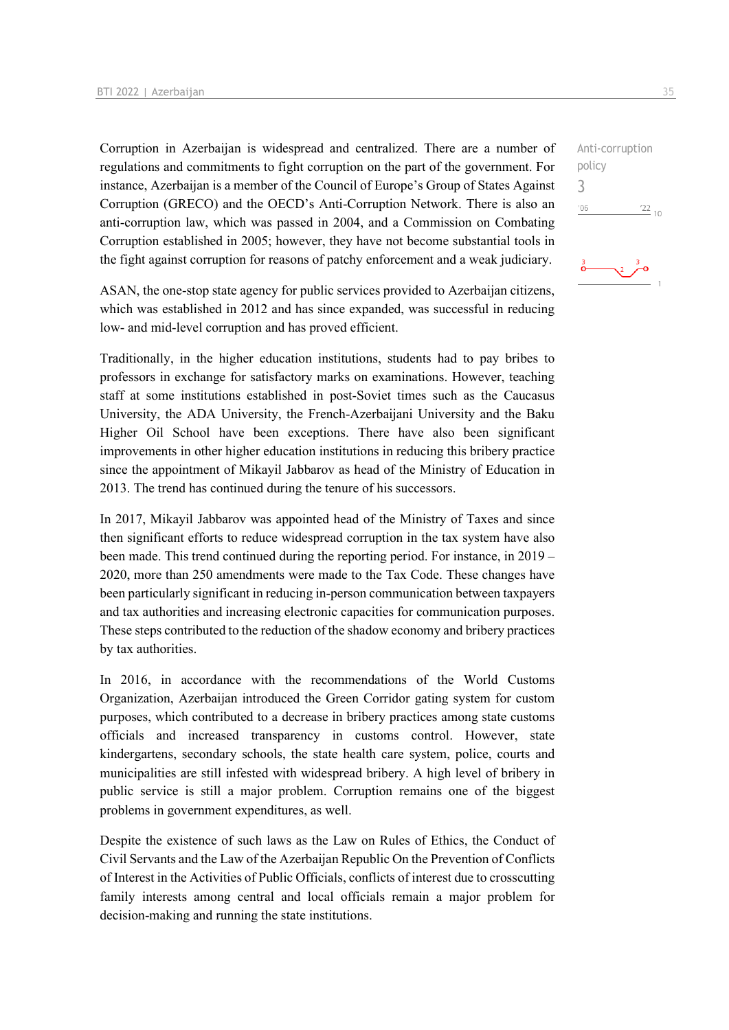Corruption in Azerbaijan is widespread and centralized. There are a number of regulations and commitments to fight corruption on the part of the government. For instance, Azerbaijan is a member of the Council of Europe's Group of States Against Corruption (GRECO) and the OECD's Anti-Corruption Network. There is also an anti-corruption law, which was passed in 2004, and a Commission on Combating Corruption established in 2005; however, they have not become substantial tools in the fight against corruption for reasons of patchy enforcement and a weak judiciary.

ASAN, the one-stop state agency for public services provided to Azerbaijan citizens, which was established in 2012 and has since expanded, was successful in reducing low- and mid-level corruption and has proved efficient.

Traditionally, in the higher education institutions, students had to pay bribes to professors in exchange for satisfactory marks on examinations. However, teaching staff at some institutions established in post-Soviet times such as the Caucasus University, the ADA University, the French-Azerbaijani University and the Baku Higher Oil School have been exceptions. There have also been significant improvements in other higher education institutions in reducing this bribery practice since the appointment of Mikayil Jabbarov as head of the Ministry of Education in 2013. The trend has continued during the tenure of his successors.

In 2017, Mikayil Jabbarov was appointed head of the Ministry of Taxes and since then significant efforts to reduce widespread corruption in the tax system have also been made. This trend continued during the reporting period. For instance, in 2019 – 2020, more than 250 amendments were made to the Tax Code. These changes have been particularly significant in reducing in-person communication between taxpayers and tax authorities and increasing electronic capacities for communication purposes. These steps contributed to the reduction of the shadow economy and bribery practices by tax authorities.

In 2016, in accordance with the recommendations of the World Customs Organization, Azerbaijan introduced the Green Corridor gating system for custom purposes, which contributed to a decrease in bribery practices among state customs officials and increased transparency in customs control. However, state kindergartens, secondary schools, the state health care system, police, courts and municipalities are still infested with widespread bribery. A high level of bribery in public service is still a major problem. Corruption remains one of the biggest problems in government expenditures, as well.

Despite the existence of such laws as the Law on Rules of Ethics, the Conduct of Civil Servants and the Law of the Azerbaijan Republic On the Prevention of Conflicts of Interest in the Activities of Public Officials, conflicts of interest due to crosscutting family interests among central and local officials remain a major problem for decision-making and running the state institutions.

Anti-corruption policy 3 $^{\prime}06$  $\frac{22}{10}$ 

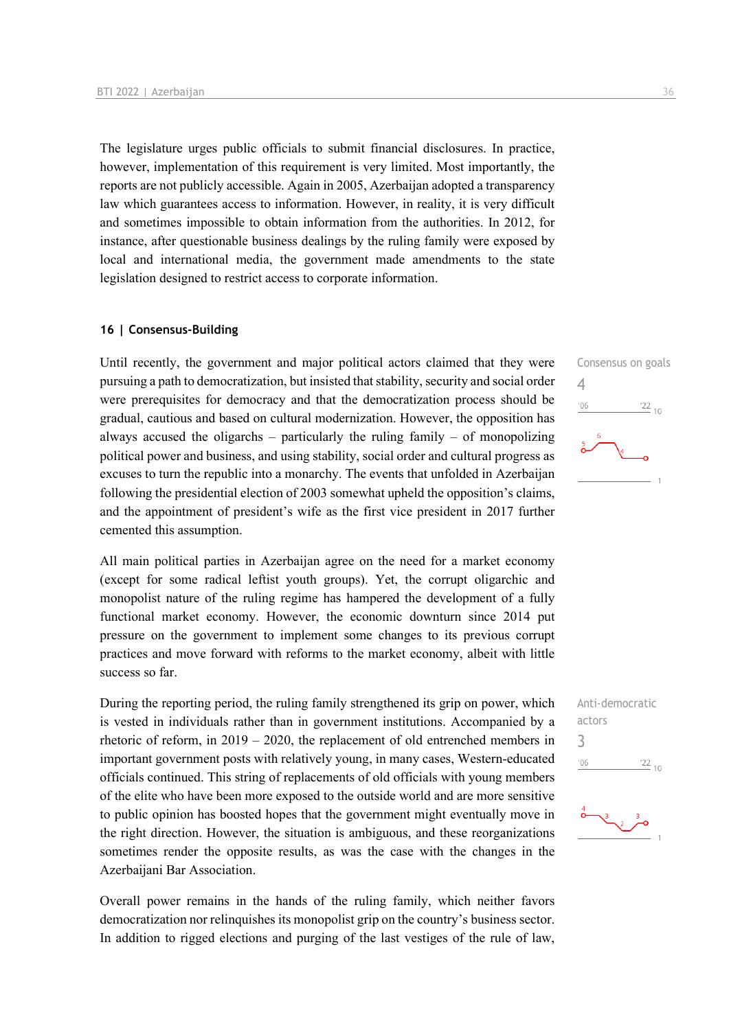The legislature urges public officials to submit financial disclosures. In practice, however, implementation of this requirement is very limited. Most importantly, the reports are not publicly accessible. Again in 2005, Azerbaijan adopted a transparency law which guarantees access to information. However, in reality, it is very difficult and sometimes impossible to obtain information from the authorities. In 2012, for instance, after questionable business dealings by the ruling family were exposed by local and international media, the government made amendments to the state legislation designed to restrict access to corporate information.

#### **16 | Consensus-Building**

Until recently, the government and major political actors claimed that they were pursuing a path to democratization, but insisted that stability, security and social order were prerequisites for democracy and that the democratization process should be gradual, cautious and based on cultural modernization. However, the opposition has always accused the oligarchs – particularly the ruling family – of monopolizing political power and business, and using stability, social order and cultural progress as excuses to turn the republic into a monarchy. The events that unfolded in Azerbaijan following the presidential election of 2003 somewhat upheld the opposition's claims, and the appointment of president's wife as the first vice president in 2017 further cemented this assumption.

All main political parties in Azerbaijan agree on the need for a market economy (except for some radical leftist youth groups). Yet, the corrupt oligarchic and monopolist nature of the ruling regime has hampered the development of a fully functional market economy. However, the economic downturn since 2014 put pressure on the government to implement some changes to its previous corrupt practices and move forward with reforms to the market economy, albeit with little success so far.

During the reporting period, the ruling family strengthened its grip on power, which is vested in individuals rather than in government institutions. Accompanied by a rhetoric of reform, in 2019 – 2020, the replacement of old entrenched members in important government posts with relatively young, in many cases, Western-educated officials continued. This string of replacements of old officials with young members of the elite who have been more exposed to the outside world and are more sensitive to public opinion has boosted hopes that the government might eventually move in the right direction. However, the situation is ambiguous, and these reorganizations sometimes render the opposite results, as was the case with the changes in the Azerbaijani Bar Association.

Overall power remains in the hands of the ruling family, which neither favors democratization nor relinquishes its monopolist grip on the country's business sector. In addition to rigged elections and purging of the last vestiges of the rule of law,





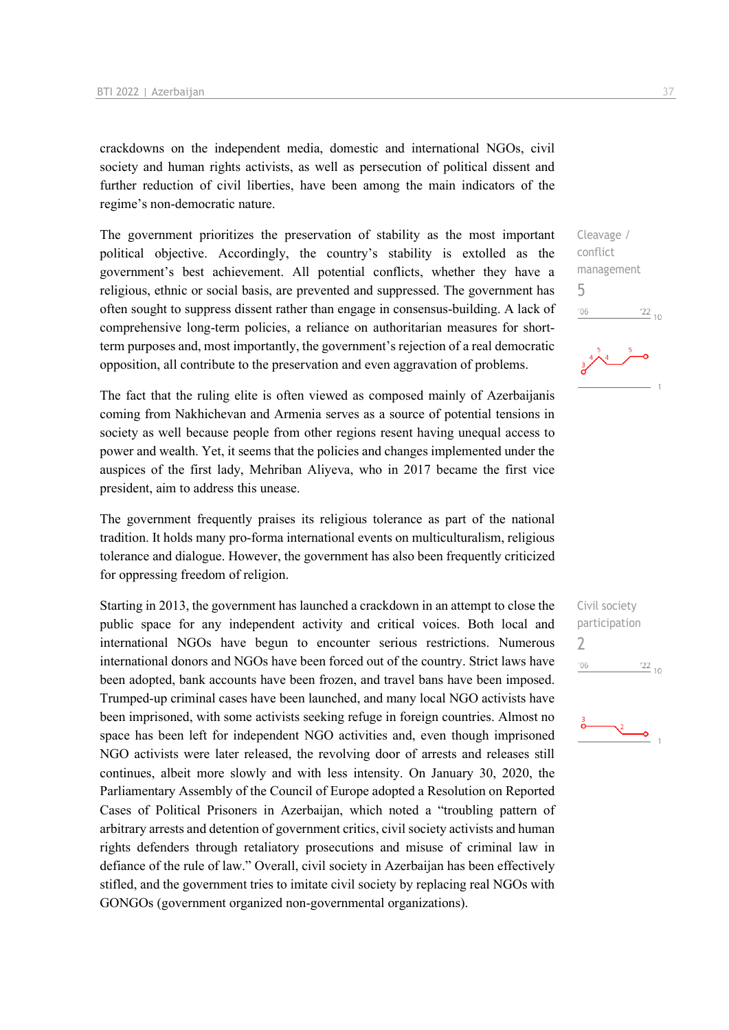crackdowns on the independent media, domestic and international NGOs, civil society and human rights activists, as well as persecution of political dissent and further reduction of civil liberties, have been among the main indicators of the regime's non-democratic nature.

The government prioritizes the preservation of stability as the most important political objective. Accordingly, the country's stability is extolled as the government's best achievement. All potential conflicts, whether they have a religious, ethnic or social basis, are prevented and suppressed. The government has often sought to suppress dissent rather than engage in consensus-building. A lack of comprehensive long-term policies, a reliance on authoritarian measures for shortterm purposes and, most importantly, the government's rejection of a real democratic opposition, all contribute to the preservation and even aggravation of problems.

The fact that the ruling elite is often viewed as composed mainly of Azerbaijanis coming from Nakhichevan and Armenia serves as a source of potential tensions in society as well because people from other regions resent having unequal access to power and wealth. Yet, it seems that the policies and changes implemented under the auspices of the first lady, Mehriban Aliyeva, who in 2017 became the first vice president, aim to address this unease.

The government frequently praises its religious tolerance as part of the national tradition. It holds many pro-forma international events on multiculturalism, religious tolerance and dialogue. However, the government has also been frequently criticized for oppressing freedom of religion.

Starting in 2013, the government has launched a crackdown in an attempt to close the public space for any independent activity and critical voices. Both local and international NGOs have begun to encounter serious restrictions. Numerous international donors and NGOs have been forced out of the country. Strict laws have been adopted, bank accounts have been frozen, and travel bans have been imposed. Trumped-up criminal cases have been launched, and many local NGO activists have been imprisoned, with some activists seeking refuge in foreign countries. Almost no space has been left for independent NGO activities and, even though imprisoned NGO activists were later released, the revolving door of arrests and releases still continues, albeit more slowly and with less intensity. On January 30, 2020, the Parliamentary Assembly of the Council of Europe adopted a Resolution on Reported Cases of Political Prisoners in Azerbaijan, which noted a "troubling pattern of arbitrary arrests and detention of government critics, civil society activists and human rights defenders through retaliatory prosecutions and misuse of criminal law in defiance of the rule of law." Overall, civil society in Azerbaijan has been effectively stifled, and the government tries to imitate civil society by replacing real NGOs with GONGOs (government organized non-governmental organizations).

Cleavage / conflict management 5  $\frac{22}{10}$  $-06$ 



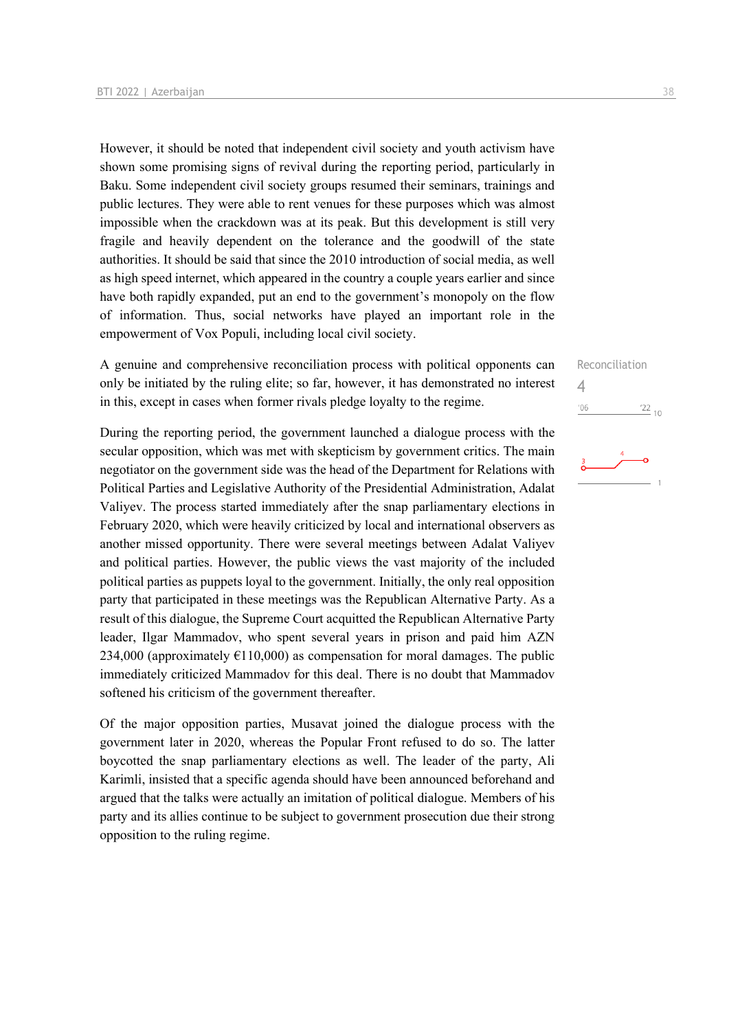However, it should be noted that independent civil society and youth activism have shown some promising signs of revival during the reporting period, particularly in Baku. Some independent civil society groups resumed their seminars, trainings and public lectures. They were able to rent venues for these purposes which was almost impossible when the crackdown was at its peak. But this development is still very fragile and heavily dependent on the tolerance and the goodwill of the state authorities. It should be said that since the 2010 introduction of social media, as well as high speed internet, which appeared in the country a couple years earlier and since have both rapidly expanded, put an end to the government's monopoly on the flow of information. Thus, social networks have played an important role in the empowerment of Vox Populi, including local civil society.

A genuine and comprehensive reconciliation process with political opponents can only be initiated by the ruling elite; so far, however, it has demonstrated no interest in this, except in cases when former rivals pledge loyalty to the regime.

During the reporting period, the government launched a dialogue process with the secular opposition, which was met with skepticism by government critics. The main negotiator on the government side was the head of the Department for Relations with Political Parties and Legislative Authority of the Presidential Administration, Adalat Valiyev. The process started immediately after the snap parliamentary elections in February 2020, which were heavily criticized by local and international observers as another missed opportunity. There were several meetings between Adalat Valiyev and political parties. However, the public views the vast majority of the included political parties as puppets loyal to the government. Initially, the only real opposition party that participated in these meetings was the Republican Alternative Party. As a result of this dialogue, the Supreme Court acquitted the Republican Alternative Party leader, Ilgar Mammadov, who spent several years in prison and paid him AZN 234,000 (approximately  $E110,000$ ) as compensation for moral damages. The public immediately criticized Mammadov for this deal. There is no doubt that Mammadov softened his criticism of the government thereafter.

Of the major opposition parties, Musavat joined the dialogue process with the government later in 2020, whereas the Popular Front refused to do so. The latter boycotted the snap parliamentary elections as well. The leader of the party, Ali Karimli, insisted that a specific agenda should have been announced beforehand and argued that the talks were actually an imitation of political dialogue. Members of his party and its allies continue to be subject to government prosecution due their strong opposition to the ruling regime.

Reconciliation 4 $'06$  $\frac{22}{10}$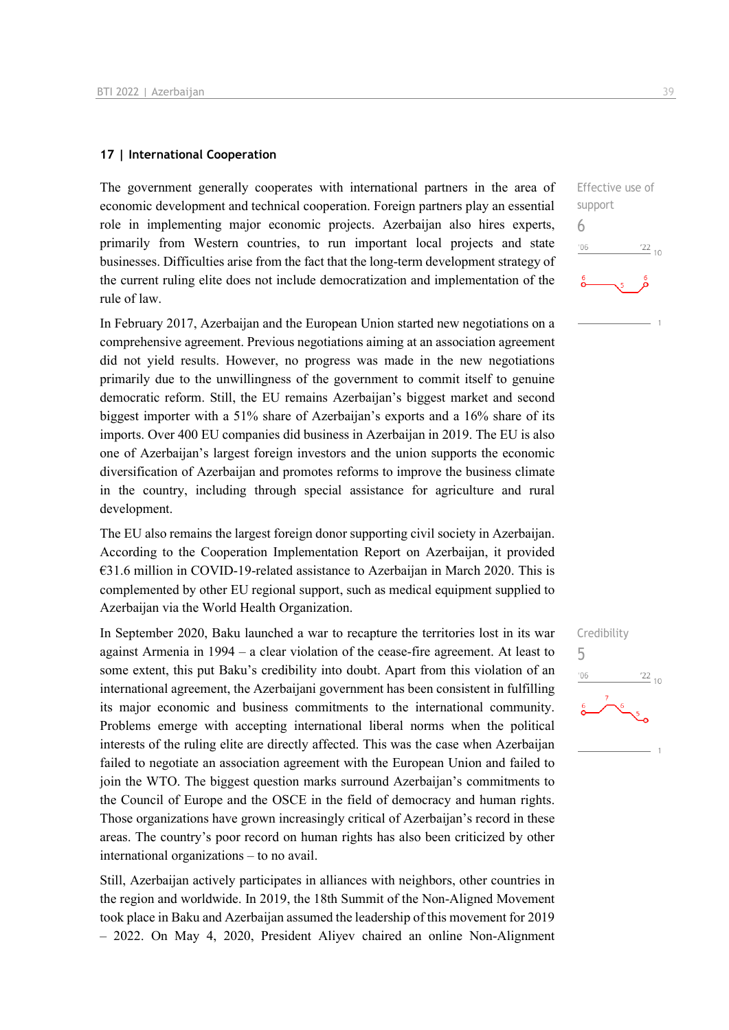#### **17 | International Cooperation**

The government generally cooperates with international partners in the area of economic development and technical cooperation. Foreign partners play an essential role in implementing major economic projects. Azerbaijan also hires experts, primarily from Western countries, to run important local projects and state businesses. Difficulties arise from the fact that the long-term development strategy of the current ruling elite does not include democratization and implementation of the rule of law.

In February 2017, Azerbaijan and the European Union started new negotiations on a comprehensive agreement. Previous negotiations aiming at an association agreement did not yield results. However, no progress was made in the new negotiations primarily due to the unwillingness of the government to commit itself to genuine democratic reform. Still, the EU remains Azerbaijan's biggest market and second biggest importer with a 51% share of Azerbaijan's exports and a 16% share of its imports. Over 400 EU companies did business in Azerbaijan in 2019. The EU is also one of Azerbaijan's largest foreign investors and the union supports the economic diversification of Azerbaijan and promotes reforms to improve the business climate in the country, including through special assistance for agriculture and rural development.

The EU also remains the largest foreign donor supporting civil society in Azerbaijan. According to the Cooperation Implementation Report on Azerbaijan, it provided €31.6 million in COVID-19-related assistance to Azerbaijan in March 2020. This is complemented by other EU regional support, such as medical equipment supplied to Azerbaijan via the World Health Organization.

In September 2020, Baku launched a war to recapture the territories lost in its war against Armenia in 1994 – a clear violation of the cease-fire agreement. At least to some extent, this put Baku's credibility into doubt. Apart from this violation of an international agreement, the Azerbaijani government has been consistent in fulfilling its major economic and business commitments to the international community. Problems emerge with accepting international liberal norms when the political interests of the ruling elite are directly affected. This was the case when Azerbaijan failed to negotiate an association agreement with the European Union and failed to join the WTO. The biggest question marks surround Azerbaijan's commitments to the Council of Europe and the OSCE in the field of democracy and human rights. Those organizations have grown increasingly critical of Azerbaijan's record in these areas. The country's poor record on human rights has also been criticized by other international organizations – to no avail.

Still, Azerbaijan actively participates in alliances with neighbors, other countries in the region and worldwide. In 2019, the 18th Summit of the Non-Aligned Movement took place in Baku and Azerbaijan assumed the leadership of this movement for 2019 – 2022. On May 4, 2020, President Aliyev chaired an online Non-Alignment



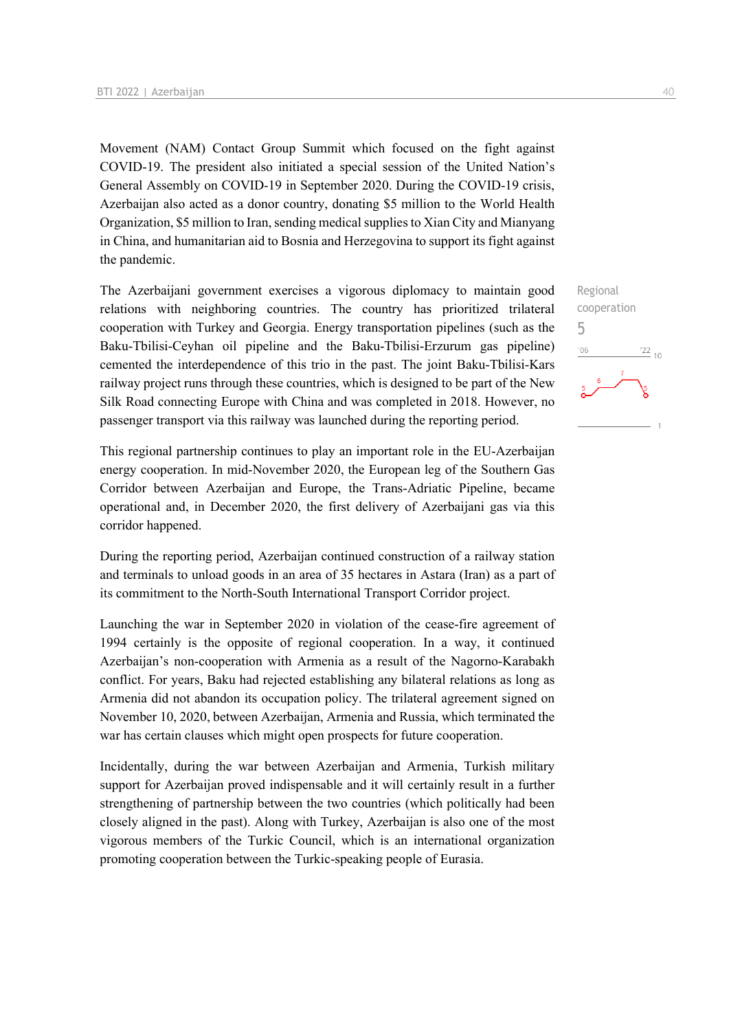Movement (NAM) Contact Group Summit which focused on the fight against COVID-19. The president also initiated a special session of the United Nation's General Assembly on COVID-19 in September 2020. During the COVID-19 crisis, Azerbaijan also acted as a donor country, donating \$5 million to the World Health Organization, \$5 million to Iran, sending medical supplies to Xian City and Mianyang in China, and humanitarian aid to Bosnia and Herzegovina to support its fight against the pandemic.

The Azerbaijani government exercises a vigorous diplomacy to maintain good relations with neighboring countries. The country has prioritized trilateral cooperation with Turkey and Georgia. Energy transportation pipelines (such as the Baku-Tbilisi-Ceyhan oil pipeline and the Baku-Tbilisi-Erzurum gas pipeline) cemented the interdependence of this trio in the past. The joint Baku-Tbilisi-Kars railway project runs through these countries, which is designed to be part of the New Silk Road connecting Europe with China and was completed in 2018. However, no passenger transport via this railway was launched during the reporting period.

This regional partnership continues to play an important role in the EU-Azerbaijan energy cooperation. In mid-November 2020, the European leg of the Southern Gas Corridor between Azerbaijan and Europe, the Trans-Adriatic Pipeline, became operational and, in December 2020, the first delivery of Azerbaijani gas via this corridor happened.

During the reporting period, Azerbaijan continued construction of a railway station and terminals to unload goods in an area of 35 hectares in Astara (Iran) as a part of its commitment to the North-South International Transport Corridor project.

Launching the war in September 2020 in violation of the cease-fire agreement of 1994 certainly is the opposite of regional cooperation. In a way, it continued Azerbaijan's non-cooperation with Armenia as a result of the Nagorno-Karabakh conflict. For years, Baku had rejected establishing any bilateral relations as long as Armenia did not abandon its occupation policy. The trilateral agreement signed on November 10, 2020, between Azerbaijan, Armenia and Russia, which terminated the war has certain clauses which might open prospects for future cooperation.

Incidentally, during the war between Azerbaijan and Armenia, Turkish military support for Azerbaijan proved indispensable and it will certainly result in a further strengthening of partnership between the two countries (which politically had been closely aligned in the past). Along with Turkey, Azerbaijan is also one of the most vigorous members of the Turkic Council, which is an international organization promoting cooperation between the Turkic-speaking people of Eurasia.

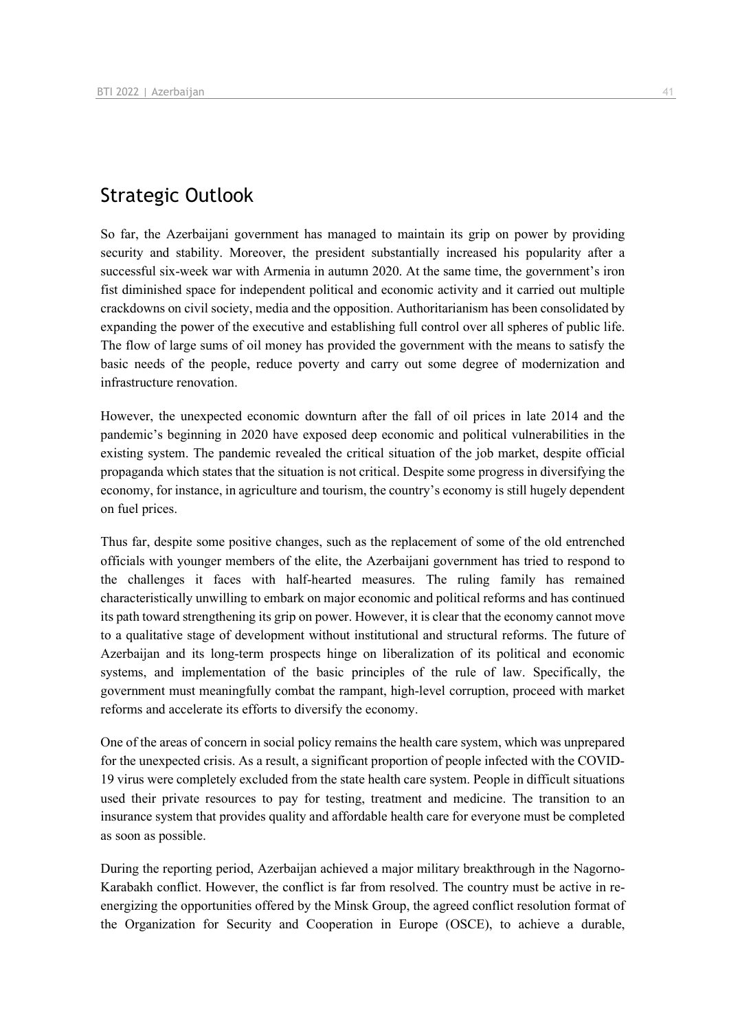## Strategic Outlook

So far, the Azerbaijani government has managed to maintain its grip on power by providing security and stability. Moreover, the president substantially increased his popularity after a successful six-week war with Armenia in autumn 2020. At the same time, the government's iron fist diminished space for independent political and economic activity and it carried out multiple crackdowns on civil society, media and the opposition. Authoritarianism has been consolidated by expanding the power of the executive and establishing full control over all spheres of public life. The flow of large sums of oil money has provided the government with the means to satisfy the basic needs of the people, reduce poverty and carry out some degree of modernization and infrastructure renovation.

However, the unexpected economic downturn after the fall of oil prices in late 2014 and the pandemic's beginning in 2020 have exposed deep economic and political vulnerabilities in the existing system. The pandemic revealed the critical situation of the job market, despite official propaganda which states that the situation is not critical. Despite some progress in diversifying the economy, for instance, in agriculture and tourism, the country's economy is still hugely dependent on fuel prices.

Thus far, despite some positive changes, such as the replacement of some of the old entrenched officials with younger members of the elite, the Azerbaijani government has tried to respond to the challenges it faces with half-hearted measures. The ruling family has remained characteristically unwilling to embark on major economic and political reforms and has continued its path toward strengthening its grip on power. However, it is clear that the economy cannot move to a qualitative stage of development without institutional and structural reforms. The future of Azerbaijan and its long-term prospects hinge on liberalization of its political and economic systems, and implementation of the basic principles of the rule of law. Specifically, the government must meaningfully combat the rampant, high-level corruption, proceed with market reforms and accelerate its efforts to diversify the economy.

One of the areas of concern in social policy remains the health care system, which was unprepared for the unexpected crisis. As a result, a significant proportion of people infected with the COVID-19 virus were completely excluded from the state health care system. People in difficult situations used their private resources to pay for testing, treatment and medicine. The transition to an insurance system that provides quality and affordable health care for everyone must be completed as soon as possible.

During the reporting period, Azerbaijan achieved a major military breakthrough in the Nagorno-Karabakh conflict. However, the conflict is far from resolved. The country must be active in reenergizing the opportunities offered by the Minsk Group, the agreed conflict resolution format of the Organization for Security and Cooperation in Europe (OSCE), to achieve a durable,